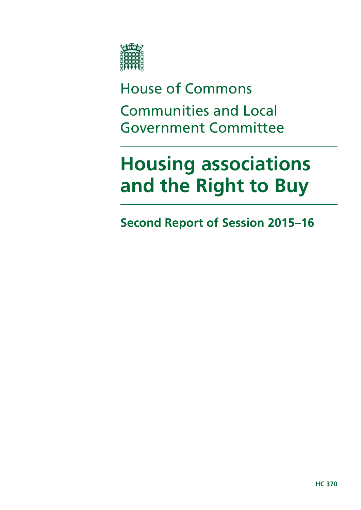

House of Commons Communities and Local Government Committee

# **Housing associations and the Right to Buy**

**Second Report of Session 2015–16**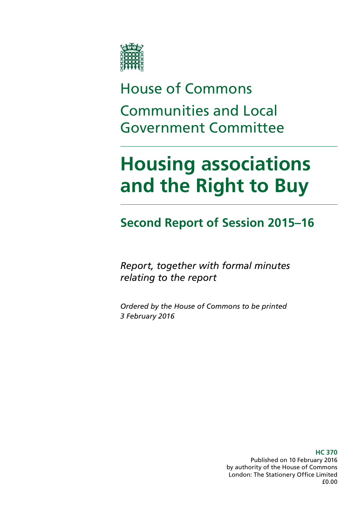

# House of Commons Communities and Local Government Committee

# **Housing associations and the Right to Buy**

# **Second Report of Session 2015–16**

*Report, together with formal minutes relating to the report*

*Ordered by the House of Commons to be printed 3 February 2016*

> **HC 370** Published on 10 February 2016 by authority of the House of Commons London: The Stationery Office Limited £0.00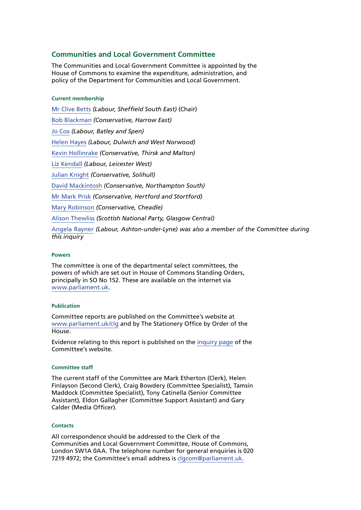#### **Communities and Local Government Committee**

The Communities and Local Government Committee is appointed by the House of Commons to examine the expenditure, administration, and policy of the Department for Communities and Local Government.

#### **Current membership**

[Mr Clive Betts](http://www.parliament.uk/biographies/commons/mr-clive-betts/394) *(Labour, Sheffield South East)* (Chair) [Bob Blackman](http://www.parliament.uk/biographies/commons/bob-blackman/4005) *(Conservative, Harrow East)* [Jo Cox](http://www.parliament.uk/biographies/commons/jo-cox/4375) *(Labour, Batley and Spen)* [Helen Hayes](http://www.parliament.uk/biographies/commons/helen-hayes/4510) *(Labour, Dulwich and West Norwood)* [Kevin Hollinrake](http://www.parliament.uk/biographies/commons/kevin-hollinrake/4474) *(Conservative, Thirsk and Malton)* [Liz Kendall](http://www.parliament.uk/biographies/commons/liz-kendall/4026) *(Labour, Leicester West)* [Julian Knight](http://www.parliament.uk/biographies/commons/julian-knight/4410) *(Conservative, Solihull)* [David Mackintosh](http://www.parliament.uk/biographies/commons/david-mackintosh/4431) *(Conservative, Northampton South)* [Mr Mark Prisk](http://www.parliament.uk/biographies/commons/mr-mark-prisk/1424) *(Conservative, Hertford and Stortford)* [Mary Robinson](http://www.parliament.uk/biographies/commons/mary-robinson/4406) *(Conservative, Cheadle)* [Alison Thewliss](http://www.parliament.uk/biographies/commons/alison-thewliss/4430) *(Scottish National Party, Glasgow Central)* [Angela Rayner](http://www.parliament.uk/biographies/commons/angela-rayner/4356) *(Labour, Ashton-under-Lyne) was also a member of the Committee during this inquiry*

#### **Powers**

The committee is one of the departmental select committees, the powers of which are set out in House of Commons Standing Orders, principally in SO No 152. These are available on the internet via [www.parliament.uk](file://hpap03f/DCCS_Rdf$/barberr/Documents/CLG%20Committee/2nd%20Report%20-%20The%20housing%20association%20sector%20and%20the%20Right%20to%20Buy/www.parliament.uk).

#### **Publication**

Committee reports are published on the Committee's website at [www.parliament.uk/clg](file://hpap03f/DCCS_Rdf$/barberr/Documents/CLG%20Committee/2nd%20Report%20-%20The%20housing%20association%20sector%20and%20the%20Right%20to%20Buy/www.parliament.uk/clg) and by The Stationery Office by Order of the House.

Evidence relating to this report is published on the [inquiry page](http://www.parliament.uk/business/committees/committees-a-z/commons-select/communities-and-local-government-committee/inquiries/parliament-2015/housing-association-sector-and-right-to-buy/) of the Committee's website.

#### **Committee staff**

The current staff of the Committee are Mark Etherton (Clerk), Helen Finlayson (Second Clerk), Craig Bowdery (Committee Specialist), Tamsin Maddock (Committee Specialist), Tony Catinella (Senior Committee Assistant), Eldon Gallagher (Committee Support Assistant) and Gary Calder (Media Officer).

#### **Contacts**

All correspondence should be addressed to the Clerk of the Communities and Local Government Committee, House of Commons, London SW1A 0AA. The telephone number for general enquiries is 020 7219 4972; the Committee's email address is [clgcom@parliament.uk.](mailto:clgcom@parliament.uk)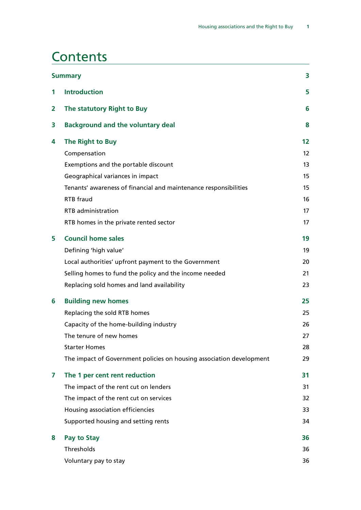### **Contents**

| <b>Summary</b> |                                                                      | 3  |
|----------------|----------------------------------------------------------------------|----|
| 1              | <b>Introduction</b>                                                  | 5  |
| 2              | The statutory Right to Buy                                           | 6  |
| 3              | <b>Background and the voluntary deal</b>                             | 8  |
| 4              | The Right to Buy                                                     | 12 |
|                | Compensation                                                         | 12 |
|                | Exemptions and the portable discount                                 | 13 |
|                | Geographical variances in impact                                     | 15 |
|                | Tenants' awareness of financial and maintenance responsibilities     | 15 |
|                | <b>RTB</b> fraud                                                     | 16 |
|                | <b>RTB</b> administration                                            | 17 |
|                | RTB homes in the private rented sector                               | 17 |
| 5              | <b>Council home sales</b>                                            | 19 |
|                | Defining 'high value'                                                | 19 |
|                | Local authorities' upfront payment to the Government                 | 20 |
|                | Selling homes to fund the policy and the income needed               | 21 |
|                | Replacing sold homes and land availability                           | 23 |
| 6              | <b>Building new homes</b>                                            | 25 |
|                | Replacing the sold RTB homes                                         | 25 |
|                | Capacity of the home-building industry                               | 26 |
|                | The tenure of new homes                                              | 27 |
|                | <b>Starter Homes</b>                                                 | 28 |
|                | The impact of Government policies on housing association development | 29 |
| 7              | The 1 per cent rent reduction                                        | 31 |
|                | The impact of the rent cut on lenders                                | 31 |
|                | The impact of the rent cut on services                               | 32 |
|                | Housing association efficiencies                                     | 33 |
|                | Supported housing and setting rents                                  | 34 |
| 8              | Pay to Stay                                                          | 36 |
|                | Thresholds                                                           | 36 |
|                | Voluntary pay to stay                                                | 36 |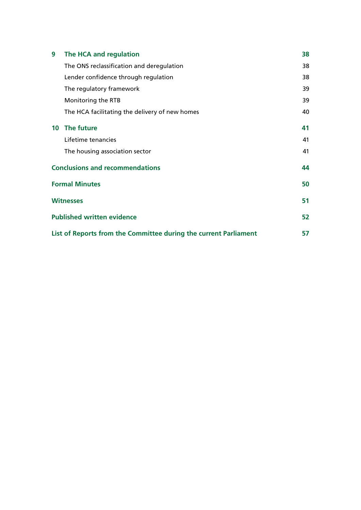| 9                                                                | The HCA and regulation                         | 38 |
|------------------------------------------------------------------|------------------------------------------------|----|
|                                                                  | The ONS reclassification and deregulation      | 38 |
|                                                                  | Lender confidence through regulation           | 38 |
|                                                                  | The regulatory framework                       | 39 |
|                                                                  | Monitoring the RTB                             | 39 |
|                                                                  | The HCA facilitating the delivery of new homes | 40 |
|                                                                  | 10 The future                                  | 41 |
|                                                                  | Lifetime tenancies                             | 41 |
|                                                                  | The housing association sector                 | 41 |
| <b>Conclusions and recommendations</b>                           |                                                |    |
| <b>Formal Minutes</b>                                            |                                                | 50 |
| <b>Witnesses</b>                                                 |                                                | 51 |
|                                                                  | <b>Published written evidence</b>              | 52 |
| List of Reports from the Committee during the current Parliament |                                                | 57 |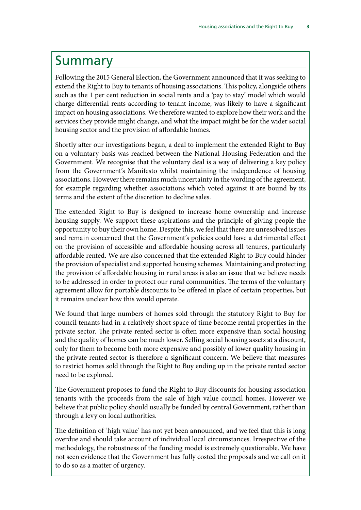### <span id="page-6-0"></span>Summary

Following the 2015 General Election, the Government announced that it was seeking to extend the Right to Buy to tenants of housing associations. This policy, alongside others such as the 1 per cent reduction in social rents and a 'pay to stay' model which would charge differential rents according to tenant income, was likely to have a significant impact on housing associations. We therefore wanted to explore how their work and the services they provide might change, and what the impact might be for the wider social housing sector and the provision of affordable homes.

Shortly after our investigations began, a deal to implement the extended Right to Buy on a voluntary basis was reached between the National Housing Federation and the Government. We recognise that the voluntary deal is a way of delivering a key policy from the Government's Manifesto whilst maintaining the independence of housing associations. However there remains much uncertainty in the wording of the agreement, for example regarding whether associations which voted against it are bound by its terms and the extent of the discretion to decline sales.

The extended Right to Buy is designed to increase home ownership and increase housing supply. We support these aspirations and the principle of giving people the opportunity to buy their own home. Despite this, we feel that there are unresolved issues and remain concerned that the Government's policies could have a detrimental effect on the provision of accessible and affordable housing across all tenures, particularly affordable rented. We are also concerned that the extended Right to Buy could hinder the provision of specialist and supported housing schemes. Maintaining and protecting the provision of affordable housing in rural areas is also an issue that we believe needs to be addressed in order to protect our rural communities. The terms of the voluntary agreement allow for portable discounts to be offered in place of certain properties, but it remains unclear how this would operate.

We found that large numbers of homes sold through the statutory Right to Buy for council tenants had in a relatively short space of time become rental properties in the private sector. The private rented sector is often more expensive than social housing and the quality of homes can be much lower. Selling social housing assets at a discount, only for them to become both more expensive and possibly of lower quality housing in the private rented sector is therefore a significant concern. We believe that measures to restrict homes sold through the Right to Buy ending up in the private rented sector need to be explored.

The Government proposes to fund the Right to Buy discounts for housing association tenants with the proceeds from the sale of high value council homes. However we believe that public policy should usually be funded by central Government, rather than through a levy on local authorities.

The definition of 'high value' has not yet been announced, and we feel that this is long overdue and should take account of individual local circumstances. Irrespective of the methodology, the robustness of the funding model is extremely questionable. We have not seen evidence that the Government has fully costed the proposals and we call on it to do so as a matter of urgency.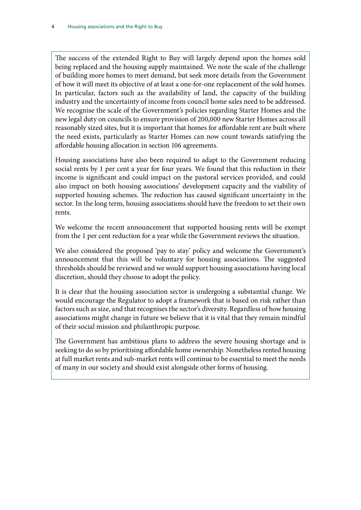The success of the extended Right to Buy will largely depend upon the homes sold being replaced and the housing supply maintained. We note the scale of the challenge of building more homes to meet demand, but seek more details from the Government of how it will meet its objective of at least a one-for-one replacement of the sold homes. In particular, factors such as the availability of land, the capacity of the building industry and the uncertainty of income from council home sales need to be addressed. We recognise the scale of the Government's policies regarding Starter Homes and the new legal duty on councils to ensure provision of 200,000 new Starter Homes across all reasonably sized sites, but it is important that homes for affordable rent are built where the need exists, particularly as Starter Homes can now count towards satisfying the affordable housing allocation in section 106 agreements.

Housing associations have also been required to adapt to the Government reducing social rents by 1 per cent a year for four years. We found that this reduction in their income is significant and could impact on the pastoral services provided, and could also impact on both housing associations' development capacity and the viability of supported housing schemes. The reduction has caused significant uncertainty in the sector. In the long term, housing associations should have the freedom to set their own rents.

We welcome the recent announcement that supported housing rents will be exempt from the 1 per cent reduction for a year while the Government reviews the situation.

We also considered the proposed 'pay to stay' policy and welcome the Government's announcement that this will be voluntary for housing associations. The suggested thresholds should be reviewed and we would support housing associations having local discretion, should they choose to adopt the policy.

It is clear that the housing association sector is undergoing a substantial change. We would encourage the Regulator to adopt a framework that is based on risk rather than factors such as size, and that recognises the sector's diversity. Regardless of how housing associations might change in future we believe that it is vital that they remain mindful of their social mission and philanthropic purpose.

The Government has ambitious plans to address the severe housing shortage and is seeking to do so by prioritising affordable home ownership. Nonetheless rented housing at full market rents and sub-market rents will continue to be essential to meet the needs of many in our society and should exist alongside other forms of housing.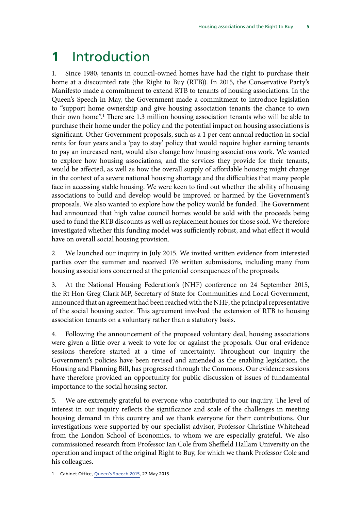# <span id="page-8-0"></span>**1** Introduction

1. Since 1980, tenants in council-owned homes have had the right to purchase their home at a discounted rate (the Right to Buy (RTB)). In 2015, the Conservative Party's Manifesto made a commitment to extend RTB to tenants of housing associations. In the Queen's Speech in May, the Government made a commitment to introduce legislation to "support home ownership and give housing association tenants the chance to own their own home".1 There are 1.3 million housing association tenants who will be able to purchase their home under the policy and the potential impact on housing associations is significant. Other Government proposals, such as a 1 per cent annual reduction in social rents for four years and a 'pay to stay' policy that would require higher earning tenants to pay an increased rent, would also change how housing associations work. We wanted to explore how housing associations, and the services they provide for their tenants, would be affected, as well as how the overall supply of affordable housing might change in the context of a severe national housing shortage and the difficulties that many people face in accessing stable housing. We were keen to find out whether the ability of housing associations to build and develop would be improved or harmed by the Government's proposals. We also wanted to explore how the policy would be funded. The Government had announced that high value council homes would be sold with the proceeds being used to fund the RTB discounts as well as replacement homes for those sold. We therefore investigated whether this funding model was sufficiently robust, and what effect it would have on overall social housing provision.

2. We launched our inquiry in July 2015. We invited written evidence from interested parties over the summer and received 176 written submissions, including many from housing associations concerned at the potential consequences of the proposals.

3. At the National Housing Federation's (NHF) conference on 24 September 2015, the Rt Hon Greg Clark MP, Secretary of State for Communities and Local Government, announced that an agreement had been reached with the NHF, the principal representative of the social housing sector. This agreement involved the extension of RTB to housing association tenants on a voluntary rather than a statutory basis.

4. Following the announcement of the proposed voluntary deal, housing associations were given a little over a week to vote for or against the proposals. Our oral evidence sessions therefore started at a time of uncertainty. Throughout our inquiry the Government's policies have been revised and amended as the enabling legislation, the Housing and Planning Bill, has progressed through the Commons. Our evidence sessions have therefore provided an opportunity for public discussion of issues of fundamental importance to the social housing sector.

5. We are extremely grateful to everyone who contributed to our inquiry. The level of interest in our inquiry reflects the significance and scale of the challenges in meeting housing demand in this country and we thank everyone for their contributions. Our investigations were supported by our specialist advisor, Professor Christine Whitehead from the London School of Economics, to whom we are especially grateful. We also commissioned research from Professor Ian Cole from Sheffield Hallam University on the operation and impact of the original Right to Buy, for which we thank Professor Cole and his colleagues.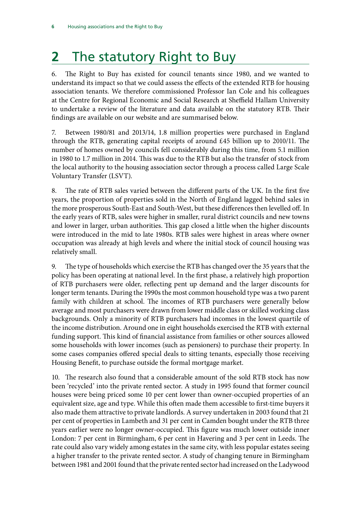# <span id="page-9-0"></span>**2** The statutory Right to Buy

6. The Right to Buy has existed for council tenants since 1980, and we wanted to understand its impact so that we could assess the effects of the extended RTB for housing association tenants. We therefore commissioned Professor Ian Cole and his colleagues at the Centre for Regional Economic and Social Research at Sheffield Hallam University to undertake a review of the literature and data available on the statutory RTB. Their findings are available on our website and are summarised below.

7. Between 1980/81 and 2013/14, 1.8 million properties were purchased in England through the RTB, generating capital receipts of around £45 billion up to 2010/11. The number of homes owned by councils fell considerably during this time, from 5.1 million in 1980 to 1.7 million in 2014. This was due to the RTB but also the transfer of stock from the local authority to the housing association sector through a process called Large Scale Voluntary Transfer (LSVT).

8. The rate of RTB sales varied between the different parts of the UK. In the first five years, the proportion of properties sold in the North of England lagged behind sales in the more prosperous South-East and South-West, but these differences then levelled off. In the early years of RTB, sales were higher in smaller, rural district councils and new towns and lower in larger, urban authorities. This gap closed a little when the higher discounts were introduced in the mid to late 1980s. RTB sales were highest in areas where owner occupation was already at high levels and where the initial stock of council housing was relatively small.

9. The type of households which exercise the RTB has changed over the 35 years that the policy has been operating at national level. In the first phase, a relatively high proportion of RTB purchasers were older, reflecting pent up demand and the larger discounts for longer term tenants. During the 1990s the most common household type was a two parent family with children at school. The incomes of RTB purchasers were generally below average and most purchasers were drawn from lower middle class or skilled working class backgrounds. Only a minority of RTB purchasers had incomes in the lowest quartile of the income distribution. Around one in eight households exercised the RTB with external funding support. This kind of financial assistance from families or other sources allowed some households with lower incomes (such as pensioners) to purchase their property. In some cases companies offered special deals to sitting tenants, especially those receiving Housing Benefit, to purchase outside the formal mortgage market.

10. The research also found that a considerable amount of the sold RTB stock has now been 'recycled' into the private rented sector. A study in 1995 found that former council houses were being priced some 10 per cent lower than owner-occupied properties of an equivalent size, age and type. While this often made them accessible to first-time buyers it also made them attractive to private landlords. A survey undertaken in 2003 found that 21 per cent of properties in Lambeth and 31 per cent in Camden bought under the RTB three years earlier were no longer owner-occupied. This figure was much lower outside inner London: 7 per cent in Birmingham, 6 per cent in Havering and 3 per cent in Leeds. The rate could also vary widely among estates in the same city, with less popular estates seeing a higher transfer to the private rented sector. A study of changing tenure in Birmingham between 1981 and 2001 found that the private rented sector had increased on the Ladywood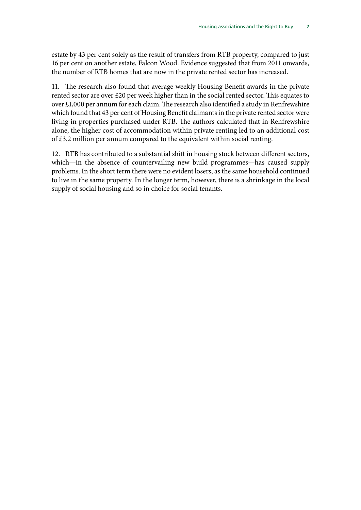estate by 43 per cent solely as the result of transfers from RTB property, compared to just 16 per cent on another estate, Falcon Wood. Evidence suggested that from 2011 onwards, the number of RTB homes that are now in the private rented sector has increased.

11. The research also found that average weekly Housing Benefit awards in the private rented sector are over £20 per week higher than in the social rented sector. This equates to over £1,000 per annum for each claim. The research also identified a study in Renfrewshire which found that 43 per cent of Housing Benefit claimants in the private rented sector were living in properties purchased under RTB. The authors calculated that in Renfrewshire alone, the higher cost of accommodation within private renting led to an additional cost of £3.2 million per annum compared to the equivalent within social renting.

12. RTB has contributed to a substantial shift in housing stock between different sectors, which—in the absence of countervailing new build programmes—has caused supply problems. In the short term there were no evident losers, as the same household continued to live in the same property. In the longer term, however, there is a shrinkage in the local supply of social housing and so in choice for social tenants.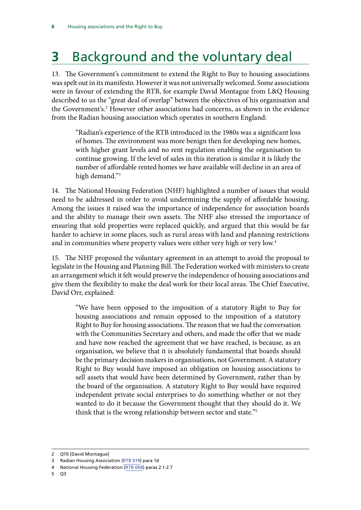# <span id="page-11-0"></span>**3** Background and the voluntary deal

13. The Government's commitment to extend the Right to Buy to housing associations was spelt out in its manifesto. However it was not universally welcomed. Some associations were in favour of extending the RTB, for example David Montague from L&Q Housing described to us the "great deal of overlap" between the objectives of his organisation and the Government's.<sup>2</sup> However other associations had concerns, as shown in the evidence from the Radian housing association which operates in southern England:

"Radian's experience of the RTB introduced in the 1980s was a significant loss of homes. The environment was more benign then for developing new homes, with higher grant levels and no rent regulation enabling the organisation to continue growing. If the level of sales in this iteration is similar it is likely the number of affordable rented homes we have available will decline in an area of high demand."3

14. The National Housing Federation (NHF) highlighted a number of issues that would need to be addressed in order to avoid undermining the supply of affordable housing. Among the issues it raised was the importance of independence for association boards and the ability to manage their own assets. The NHF also stressed the importance of ensuring that sold properties were replaced quickly, and argued that this would be far harder to achieve in some places, such as rural areas with land and planning restrictions and in communities where property values were either very high or very low.<sup>4</sup>

15. The NHF proposed the voluntary agreement in an attempt to avoid the proposal to legislate in the Housing and Planning Bill. The Federation worked with ministers to create an arrangement which it felt would preserve the independence of housing associations and give them the flexibility to make the deal work for their local areas. The Chief Executive, David Orr, explained:

"We have been opposed to the imposition of a statutory Right to Buy for housing associations and remain opposed to the imposition of a statutory Right to Buy for housing associations. The reason that we had the conversation with the Communities Secretary and others, and made the offer that we made and have now reached the agreement that we have reached, is because, as an organisation, we believe that it is absolutely fundamental that boards should be the primary decision makers in organisations, not Government. A statutory Right to Buy would have imposed an obligation on housing associations to sell assets that would have been determined by Government, rather than by the board of the organisation. A statutory Right to Buy would have required independent private social enterprises to do something whether or not they wanted to do it because the Government thought that they should do it. We think that is the wrong relationship between sector and state."5

<sup>2</sup> Q70 [David Montague]

<sup>3</sup> Radian Housing Association ([RTB 019\)](http://data.parliament.uk/writtenevidence/committeeevidence.svc/evidencedocument/communities-and-local-government-committee/the-housing-association-sector-and-the-right-to-buy/written/19616.html) para 1d

<sup>4</sup> National Housing Federation ([RTB 068\)](http://data.parliament.uk/writtenevidence/committeeevidence.svc/evidencedocument/communities-and-local-government-committee/the-housing-association-sector-and-the-right-to-buy/written/19949.html) paras 2.1-2.7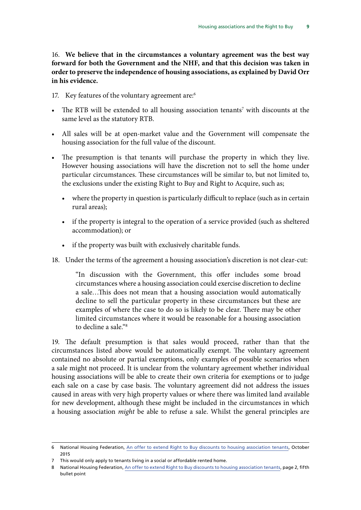16. **We believe that in the circumstances a voluntary agreement was the best way forward for both the Government and the NHF, and that this decision was taken in order to preserve the independence of housing associations, as explained by David Orr in his evidence.**

- 17. Key features of the voluntary agreement are:<sup>6</sup>
- The RTB will be extended to all housing association tenants<sup>7</sup> with discounts at the same level as the statutory RTB.
- All sales will be at open-market value and the Government will compensate the housing association for the full value of the discount.
- The presumption is that tenants will purchase the property in which they live. However housing associations will have the discretion not to sell the home under particular circumstances. These circumstances will be similar to, but not limited to, the exclusions under the existing Right to Buy and Right to Acquire, such as;
	- where the property in question is particularly difficult to replace (such as in certain rural areas);
	- if the property is integral to the operation of a service provided (such as sheltered accommodation); or
	- if the property was built with exclusively charitable funds.
- 18. Under the terms of the agreement a housing association's discretion is not clear-cut:

"In discussion with the Government, this offer includes some broad circumstances where a housing association could exercise discretion to decline a sale…This does not mean that a housing association would automatically decline to sell the particular property in these circumstances but these are examples of where the case to do so is likely to be clear. There may be other limited circumstances where it would be reasonable for a housing association to decline a sale "8

19. The default presumption is that sales would proceed, rather than that the circumstances listed above would be automatically exempt. The voluntary agreement contained no absolute or partial exemptions, only examples of possible scenarios when a sale might not proceed. It is unclear from the voluntary agreement whether individual housing associations will be able to create their own criteria for exemptions or to judge each sale on a case by case basis. The voluntary agreement did not address the issues caused in areas with very high property values or where there was limited land available for new development, although these might be included in the circumstances in which a housing association *might* be able to refuse a sale. Whilst the general principles are

<sup>6</sup> National Housing Federation, [An offer to extend Right to Buy discounts to housing association tenants](http://s3-eu-west-1.amazonaws.com/doc.housing.org.uk/Editorial/RTB/Fed_RTB_Offer.pdf), October 2015

<sup>7</sup> This would only apply to tenants living in a social or affordable rented home.

<sup>8</sup> National Housing Federation, [An offer to extend Right to Buy discounts to housing association tenants,](http://s3-eu-west-1.amazonaws.com/doc.housing.org.uk/Editorial/RTB/Fed_RTB_Offer.pdf) page 2, fifth bullet point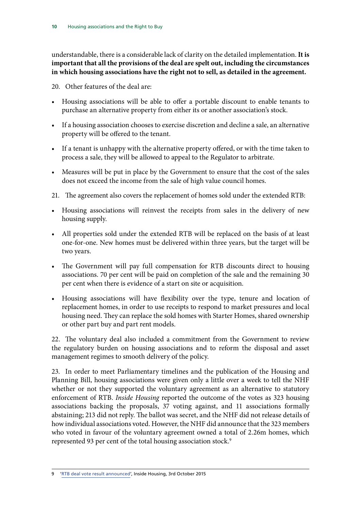understandable, there is a considerable lack of clarity on the detailed implementation. **It is important that all the provisions of the deal are spelt out, including the circumstances in which housing associations have the right not to sell, as detailed in the agreement.**

20. Other features of the deal are:

- Housing associations will be able to offer a portable discount to enable tenants to purchase an alternative property from either its or another association's stock.
- If a housing association chooses to exercise discretion and decline a sale, an alternative property will be offered to the tenant.
- If a tenant is unhappy with the alternative property offered, or with the time taken to process a sale, they will be allowed to appeal to the Regulator to arbitrate.
- Measures will be put in place by the Government to ensure that the cost of the sales does not exceed the income from the sale of high value council homes.
- 21. The agreement also covers the replacement of homes sold under the extended RTB:
- Housing associations will reinvest the receipts from sales in the delivery of new housing supply.
- All properties sold under the extended RTB will be replaced on the basis of at least one-for-one. New homes must be delivered within three years, but the target will be two years.
- The Government will pay full compensation for RTB discounts direct to housing associations. 70 per cent will be paid on completion of the sale and the remaining 30 per cent when there is evidence of a start on site or acquisition.
- Housing associations will have flexibility over the type, tenure and location of replacement homes, in order to use receipts to respond to market pressures and local housing need. They can replace the sold homes with Starter Homes, shared ownership or other part buy and part rent models.

22. The voluntary deal also included a commitment from the Government to review the regulatory burden on housing associations and to reform the disposal and asset management regimes to smooth delivery of the policy.

23. In order to meet Parliamentary timelines and the publication of the Housing and Planning Bill, housing associations were given only a little over a week to tell the NHF whether or not they supported the voluntary agreement as an alternative to statutory enforcement of RTB. *Inside Housing* reported the outcome of the votes as 323 housing associations backing the proposals, 37 voting against, and 11 associations formally abstaining; 213 did not reply. The ballot was secret, and the NHF did not release details of how individual associations voted. However, the NHF did announce that the 323 members who voted in favour of the voluntary agreement owned a total of 2.26m homes, which represented 93 per cent of the total housing association stock.<sup>9</sup>

<sup>9</sup> ['RTB deal vote result announced'](http://www.insidehousing.co.uk/policy/right-to-buy/rtb-deal-vote-result-announced/7012094.article), Inside Housing, 3rd October 2015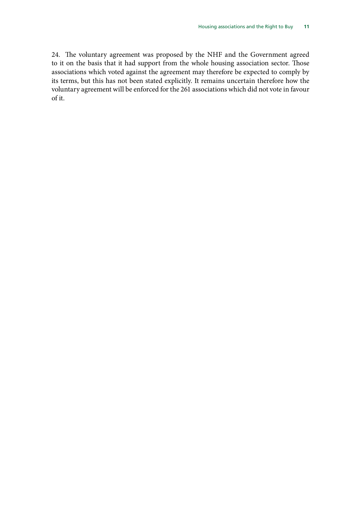24. The voluntary agreement was proposed by the NHF and the Government agreed to it on the basis that it had support from the whole housing association sector. Those associations which voted against the agreement may therefore be expected to comply by its terms, but this has not been stated explicitly. It remains uncertain therefore how the voluntary agreement will be enforced for the 261 associations which did not vote in favour of it.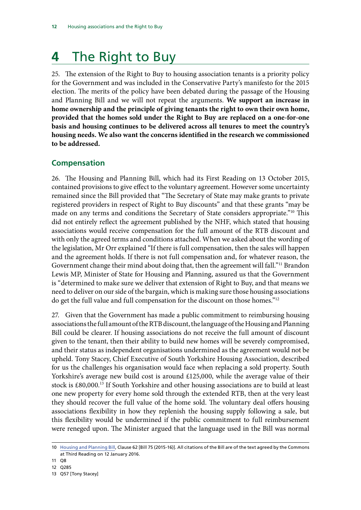# <span id="page-15-0"></span>**4** The Right to Buy

25. The extension of the Right to Buy to housing association tenants is a priority policy for the Government and was included in the Conservative Party's manifesto for the 2015 election. The merits of the policy have been debated during the passage of the Housing and Planning Bill and we will not repeat the arguments. **We support an increase in home ownership and the principle of giving tenants the right to own their own home, provided that the homes sold under the Right to Buy are replaced on a one-for-one basis and housing continues to be delivered across all tenures to meet the country's housing needs. We also want the concerns identified in the research we commissioned to be addressed.**

### **Compensation**

26. The Housing and Planning Bill, which had its First Reading on 13 October 2015, contained provisions to give effect to the voluntary agreement. However some uncertainty remained since the Bill provided that "The Secretary of State may make grants to private registered providers in respect of Right to Buy discounts" and that these grants "may be made on any terms and conditions the Secretary of State considers appropriate."10 This did not entirely reflect the agreement published by the NHF, which stated that housing associations would receive compensation for the full amount of the RTB discount and with only the agreed terms and conditions attached. When we asked about the wording of the legislation, Mr Orr explained "If there is full compensation, then the sales will happen and the agreement holds. If there is not full compensation and, for whatever reason, the Government change their mind about doing that, then the agreement will fall."<sup>11</sup> Brandon Lewis MP, Minister of State for Housing and Planning, assured us that the Government is "determined to make sure we deliver that extension of Right to Buy, and that means we need to deliver on our side of the bargain, which is making sure those housing associations do get the full value and full compensation for the discount on those homes."12

27. Given that the Government has made a public commitment to reimbursing housing associations the full amount of the RTB discount, the language of the Housing and Planning Bill could be clearer. If housing associations do not receive the full amount of discount given to the tenant, then their ability to build new homes will be severely compromised, and their status as independent organisations undermined as the agreement would not be upheld. Tony Stacey, Chief Executive of South Yorkshire Housing Association, described for us the challenges his organisation would face when replacing a sold property. South Yorkshire's average new build cost is around £125,000, while the average value of their stock is £80,000.13 If South Yorkshire and other housing associations are to build at least one new property for every home sold through the extended RTB, then at the very least they should recover the full value of the home sold. The voluntary deal offers housing associations flexibility in how they replenish the housing supply following a sale, but this flexibility would be undermined if the public commitment to full reimbursement were reneged upon. The Minister argued that the language used in the Bill was normal

12 Q285

<sup>10</sup> [Housing and Planning Bill,](http://www.publications.parliament.uk/pa/bills/cbill/2015-2016/0075/16075.pdf) Clause 62 [Bill 75 (2015-16)]. All citations of the Bill are of the text agreed by the Commons at Third Reading on 12 January 2016.

<sup>11</sup> Q8

<sup>13</sup> Q57 [Tony Stacey]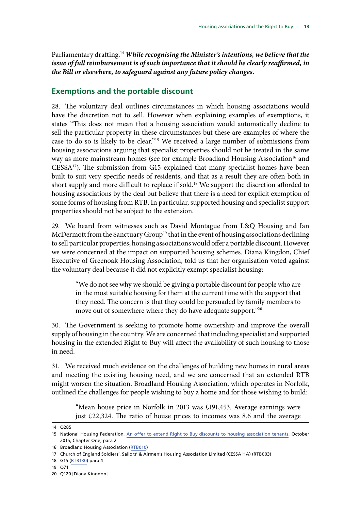<span id="page-16-0"></span>Parliamentary drafting.<sup>14</sup> *While recognising the Minister's intentions, we believe that the issue of full reimbursement is of such importance that it should be clearly reaffirmed, in the Bill or elsewhere, to safeguard against any future policy changes.*

#### **Exemptions and the portable discount**

28. The voluntary deal outlines circumstances in which housing associations would have the discretion not to sell. However when explaining examples of exemptions, it states "This does not mean that a housing association would automatically decline to sell the particular property in these circumstances but these are examples of where the case to do so is likely to be clear."15 We received a large number of submissions from housing associations arguing that specialist properties should not be treated in the same way as more mainstream homes (see for example Broadland Housing Association<sup>16</sup> and  $CESSA<sup>17</sup>$ ). The submission from G15 explained that many specialist homes have been built to suit very specific needs of residents, and that as a result they are often both in short supply and more difficult to replace if sold.<sup>18</sup> We support the discretion afforded to housing associations by the deal but believe that there is a need for explicit exemption of some forms of housing from RTB. In particular, supported housing and specialist support properties should not be subject to the extension.

29. We heard from witnesses such as David Montague from L&Q Housing and Ian McDermott from the Sanctuary Group<sup>19</sup> that in the event of housing associations declining to sell particular properties, housing associations would offer a portable discount. However we were concerned at the impact on supported housing schemes. Diana Kingdon, Chief Executive of Greenoak Housing Association, told us that her organisation voted against the voluntary deal because it did not explicitly exempt specialist housing:

"We do not see why we should be giving a portable discount for people who are in the most suitable housing for them at the current time with the support that they need. The concern is that they could be persuaded by family members to move out of somewhere where they do have adequate support."20

30. The Government is seeking to promote home ownership and improve the overall supply of housing in the country. We are concerned that including specialist and supported housing in the extended Right to Buy will affect the availability of such housing to those in need.

31. We received much evidence on the challenges of building new homes in rural areas and meeting the existing housing need, and we are concerned that an extended RTB might worsen the situation. Broadland Housing Association, which operates in Norfolk, outlined the challenges for people wishing to buy a home and for those wishing to build:

"Mean house price in Norfolk in 2013 was £191,453. Average earnings were just £22,324. The ratio of house prices to incomes was 8.6 and the average

<sup>14</sup> Q285

<sup>15</sup> National Housing Federation, [An offer to extend Right to Buy discounts to housing association tenants](http://s3-eu-west-1.amazonaws.com/doc.housing.org.uk/Editorial/RTB/Fed_RTB_Offer.pdf), October 2015, Chapter One, para 2

<sup>16</sup> Broadland Housing Association [\(RTB010\)](http://data.parliament.uk/writtenevidence/committeeevidence.svc/evidencedocument/communities-and-local-government-committee/the-housing-association-sector-and-the-right-to-buy/written/19280.html)

<sup>17</sup> Church of England Soldiers', Sailors' & Airmen's Housing Association Limited (CESSA HA) (RTB003)

<sup>18</sup> G15 [\(RTB130](http://data.parliament.uk/writtenevidence/committeeevidence.svc/evidencedocument/communities-and-local-government-committee/the-housing-association-sector-and-the-right-to-buy/written/20098.html)) para 4

<sup>19</sup> Q71

<sup>20</sup> Q120 [Diana Kingdon]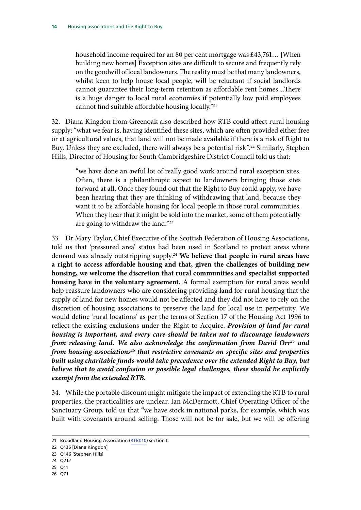household income required for an 80 per cent mortgage was £43,761… [When building new homes] Exception sites are difficult to secure and frequently rely on the goodwill of local landowners. The reality must be that many landowners, whilst keen to help house local people, will be reluctant if social landlords cannot guarantee their long-term retention as affordable rent homes…There is a huge danger to local rural economies if potentially low paid employees cannot find suitable affordable housing locally."21

32. Diana Kingdon from Greenoak also described how RTB could affect rural housing supply: "what we fear is, having identified these sites, which are often provided either free or at agricultural values, that land will not be made available if there is a risk of Right to Buy. Unless they are excluded, there will always be a potential risk".<sup>22</sup> Similarly, Stephen Hills, Director of Housing for South Cambridgeshire District Council told us that:

"we have done an awful lot of really good work around rural exception sites. Often, there is a philanthropic aspect to landowners bringing those sites forward at all. Once they found out that the Right to Buy could apply, we have been hearing that they are thinking of withdrawing that land, because they want it to be affordable housing for local people in those rural communities. When they hear that it might be sold into the market, some of them potentially are going to withdraw the land."23

33. Dr Mary Taylor, Chief Executive of the Scottish Federation of Housing Associations, told us that 'pressured area' status had been used in Scotland to protect areas where demand was already outstripping supply.24 **We believe that people in rural areas have a right to access affordable housing and that, given the challenges of building new housing, we welcome the discretion that rural communities and specialist supported housing have in the voluntary agreement.** A formal exemption for rural areas would help reassure landowners who are considering providing land for rural housing that the supply of land for new homes would not be affected and they did not have to rely on the discretion of housing associations to preserve the land for local use in perpetuity. We would define 'rural locations' as per the terms of Section 17 of the Housing Act 1996 to reflect the existing exclusions under the Right to Acquire. *Provision of land for rural housing is important, and every care should be taken not to discourage landowners from releasing land. We also acknowledge the confirmation from David Orr*<sup>25</sup> *and from housing associations*<sup>26</sup> *that restrictive covenants on specific sites and properties built using charitable funds would take precedence over the extended Right to Buy, but believe that to avoid confusion or possible legal challenges, these should be explicitly exempt from the extended RTB.*

34. While the portable discount might mitigate the impact of extending the RTB to rural properties, the practicalities are unclear. Ian McDermott, Chief Operating Officer of the Sanctuary Group, told us that "we have stock in national parks, for example, which was built with covenants around selling. Those will not be for sale, but we will be offering

- 24 Q212
- 25 Q11
- 26 Q71

<sup>21</sup> Broadland Housing Association [\(RTB010\)](http://data.parliament.uk/writtenevidence/committeeevidence.svc/evidencedocument/communities-and-local-government-committee/the-housing-association-sector-and-the-right-to-buy/written/19280.html) section C

<sup>22</sup> Q135 [Diana Kingdon]

<sup>23</sup> Q146 [Stephen Hills]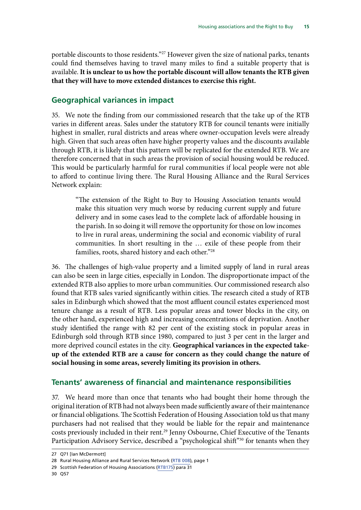<span id="page-18-0"></span>portable discounts to those residents."<sup>27</sup> However given the size of national parks, tenants could find themselves having to travel many miles to find a suitable property that is available. **It is unclear to us how the portable discount will allow tenants the RTB given that they will have to move extended distances to exercise this right.**

#### **Geographical variances in impact**

35. We note the finding from our commissioned research that the take up of the RTB varies in different areas. Sales under the statutory RTB for council tenants were initially highest in smaller, rural districts and areas where owner-occupation levels were already high. Given that such areas often have higher property values and the discounts available through RTB, it is likely that this pattern will be replicated for the extended RTB. We are therefore concerned that in such areas the provision of social housing would be reduced. This would be particularly harmful for rural communities if local people were not able to afford to continue living there. The Rural Housing Alliance and the Rural Services Network explain:

"The extension of the Right to Buy to Housing Association tenants would make this situation very much worse by reducing current supply and future delivery and in some cases lead to the complete lack of affordable housing in the parish. In so doing it will remove the opportunity for those on low incomes to live in rural areas, undermining the social and economic viability of rural communities. In short resulting in the … exile of these people from their families, roots, shared history and each other."28

36. The challenges of high-value property and a limited supply of land in rural areas can also be seen in large cities, especially in London. The disproportionate impact of the extended RTB also applies to more urban communities. Our commissioned research also found that RTB sales varied significantly within cities. The research cited a study of RTB sales in Edinburgh which showed that the most affluent council estates experienced most tenure change as a result of RTB. Less popular areas and tower blocks in the city, on the other hand, experienced high and increasing concentrations of deprivation. Another study identified the range with 82 per cent of the existing stock in popular areas in Edinburgh sold through RTB since 1980, compared to just 3 per cent in the larger and more deprived council estates in the city. **Geographical variances in the expected takeup of the extended RTB are a cause for concern as they could change the nature of social housing in some areas, severely limiting its provision in others.** 

#### **Tenants' awareness of financial and maintenance responsibilities**

37. We heard more than once that tenants who had bought their home through the original iteration of RTB had not always been made sufficiently aware of their maintenance or financial obligations. The Scottish Federation of Housing Association told us that many purchasers had not realised that they would be liable for the repair and maintenance costs previously included in their rent.<sup>29</sup> Jenny Osbourne, Chief Executive of the Tenants Participation Advisory Service, described a "psychological shift"<sup>30</sup> for tenants when they

<sup>27</sup> Q71 [Ian McDermott]

<sup>28</sup> Rural Housing Alliance and Rural Services Network ([RTB 008](http://data.parliament.uk/writtenevidence/committeeevidence.svc/evidencedocument/communities-and-local-government-committee/the-housing-association-sector-and-the-right-to-buy/written/19275.html)), page 1

<sup>29</sup> Scottish Federation of Housing Associations [\(RTB175\)](http://data.parliament.uk/writtenevidence/committeeevidence.svc/evidencedocument/communities-and-local-government-committee/the-housing-association-sector-and-the-right-to-buy/written/25697.html) para 31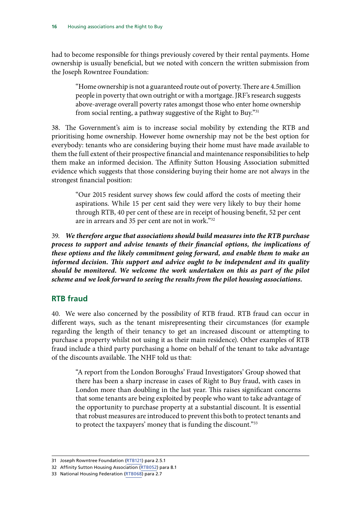<span id="page-19-0"></span>had to become responsible for things previously covered by their rental payments. Home ownership is usually beneficial, but we noted with concern the written submission from the Joseph Rowntree Foundation:

"Home ownership is not a guaranteed route out of poverty. There are 4.5million people in poverty that own outright or with a mortgage. JRF's research suggests above-average overall poverty rates amongst those who enter home ownership from social renting, a pathway suggestive of the Right to Buy."31

38. The Government's aim is to increase social mobility by extending the RTB and prioritising home ownership. However home ownership may not be the best option for everybody: tenants who are considering buying their home must have made available to them the full extent of their prospective financial and maintenance responsibilities to help them make an informed decision. The Affinity Sutton Housing Association submitted evidence which suggests that those considering buying their home are not always in the strongest financial position:

"Our 2015 resident survey shows few could afford the costs of meeting their aspirations. While 15 per cent said they were very likely to buy their home through RTB, 40 per cent of these are in receipt of housing benefit, 52 per cent are in arrears and 35 per cent are not in work."<sup>32</sup>

39. *We therefore argue that associations should build measures into the RTB purchase process to support and advise tenants of their financial options, the implications of these options and the likely commitment going forward, and enable them to make an informed decision. This support and advice ought to be independent and its quality should be monitored. We welcome the work undertaken on this as part of the pilot scheme and we look forward to seeing the results from the pilot housing associations.*

### **RTB fraud**

40. We were also concerned by the possibility of RTB fraud. RTB fraud can occur in different ways, such as the tenant misrepresenting their circumstances (for example regarding the length of their tenancy to get an increased discount or attempting to purchase a property whilst not using it as their main residence). Other examples of RTB fraud include a third party purchasing a home on behalf of the tenant to take advantage of the discounts available. The NHF told us that:

"A report from the London Boroughs' Fraud Investigators' Group showed that there has been a sharp increase in cases of Right to Buy fraud, with cases in London more than doubling in the last year. This raises significant concerns that some tenants are being exploited by people who want to take advantage of the opportunity to purchase property at a substantial discount. It is essential that robust measures are introduced to prevent this both to protect tenants and to protect the taxpayers' money that is funding the discount."33

<sup>31</sup> Joseph Rowntree Foundation ([RTB121\)](http://data.parliament.uk/writtenevidence/committeeevidence.svc/evidencedocument/communities-and-local-government-committee/the-housing-association-sector-and-the-right-to-buy/written/20068.html) para 2.5.1

<sup>32</sup> Affinity Sutton Housing Association [\(RTB052\)](http://data.parliament.uk/writtenevidence/committeeevidence.svc/evidencedocument/communities-and-local-government-committee/the-housing-association-sector-and-the-right-to-buy/written/19896.html) para 8.1

<sup>33</sup> National Housing Federation ([RTB068\)](http://data.parliament.uk/writtenevidence/committeeevidence.svc/evidencedocument/communities-and-local-government-committee/the-housing-association-sector-and-the-right-to-buy/written/19949.html) para 2.7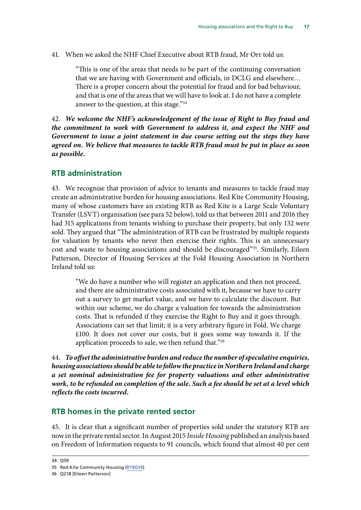<span id="page-20-0"></span>41. When we asked the NHF Chief Executive about RTB fraud, Mr Orr told us:

"This is one of the areas that needs to be part of the continuing conversation that we are having with Government and officials, in DCLG and elsewhere… There is a proper concern about the potential for fraud and for bad behaviour, and that is one of the areas that we will have to look at. I do not have a complete answer to the question, at this stage."34

42. *We welcome the NHF's acknowledgement of the issue of Right to Buy fraud and the commitment to work with Government to address it, and expect the NHF and Government to issue a joint statement in due course setting out the steps they have agreed on. We believe that measures to tackle RTB fraud must be put in place as soon as possible.*

#### **RTB administration**

43. We recognise that provision of advice to tenants and measures to tackle fraud may create an administrative burden for housing associations. Red Kite Community Housing, many of whose customers have an existing RTB as Red Kite is a Large Scale Voluntary Transfer (LSVT) organisation (see para 52 below), told us that between 2011 and 2016 they had 315 applications from tenants wishing to purchase their property, but only 132 were sold. They argued that "The administration of RTB can be frustrated by multiple requests for valuation by tenants who never then exercise their rights. This is an unnecessary cost and waste to housing associations and should be discouraged"35. Similarly, Eileen Patterson, Director of Housing Services at the Fold Housing Association in Northern Ireland told us:

"We do have a number who will register an application and then not proceed, and there are administrative costs associated with it, because we have to carry out a survey to get market value, and we have to calculate the discount. But within our scheme, we do charge a valuation fee towards the administration costs. That is refunded if they exercise the Right to Buy and it goes through. Associations can set that limit; it is a very arbitrary figure in Fold. We charge £100. It does not cover our costs, but it goes some way towards it. If the application proceeds to sale, we then refund that."36

44. *To offset the administrative burden and reduce the number of speculative enquiries, housing associations should be able to follow the practice in Northern Ireland and charge a set nominal administration fee for property valuations and other administrative work, to be refunded on completion of the sale. Such a fee should be set at a level which reflects the costs incurred.*

#### **RTB homes in the private rented sector**

45. It is clear that a significant number of properties sold under the statutory RTB are now in the private rental sector. In August 2015 *Inside Housing* published an analysis based on Freedom of Information requests to 91 councils, which found that almost 40 per cent

<sup>34</sup> Q59

<sup>35</sup> Red Kite Community Housing [\(RTB039\)](http://data.parliament.uk/writtenevidence/committeeevidence.svc/evidencedocument/communities-and-local-government-committee/the-housing-association-sector-and-the-right-to-buy/written/19863.html)

<sup>36</sup> Q218 [Eileen Patterson]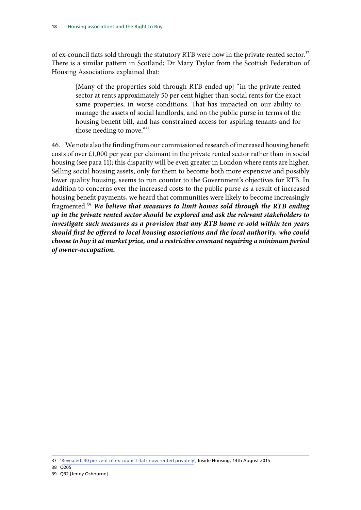of ex-council flats sold through the statutory RTB were now in the private rented sector.<sup>37</sup> There is a similar pattern in Scotland; Dr Mary Taylor from the Scottish Federation of Housing Associations explained that:

[Many of the properties sold through RTB ended up] "in the private rented sector at rents approximately 50 per cent higher than social rents for the exact same properties, in worse conditions. That has impacted on our ability to manage the assets of social landlords, and on the public purse in terms of the housing benefit bill, and has constrained access for aspiring tenants and for those needing to move."38

46. We note also the finding from our commissioned research of increased housing benefit costs of over £1,000 per year per claimant in the private rented sector rather than in social housing (see para 11); this disparity will be even greater in London where rents are higher. Selling social housing assets, only for them to become both more expensive and possibly lower quality housing, seems to run counter to the Government's objectives for RTB. In addition to concerns over the increased costs to the public purse as a result of increased housing benefit payments, we heard that communities were likely to become increasingly fragmented.39 *We believe that measures to limit homes sold through the RTB ending up in the private rented sector should be explored and ask the relevant stakeholders to investigate such measures as a provision that any RTB home re-sold within ten years should first be offered to local housing associations and the local authority, who could choose to buy it at market price, and a restrictive covenant requiring a minimum period of owner-occupation.*

<sup>37</sup> ['Revealed: 40 per cent of ex-council flats now rented privately'](http://www.insidehousing.co.uk/ihstory.aspx?storyCode=7011266&preview=1&hash=0BC7AC57BBA12356A79A26E75975956B), Inside Housing, 14th August 2015

<sup>38</sup> Q205

<sup>39</sup> Q32 [Jenny Osbourne]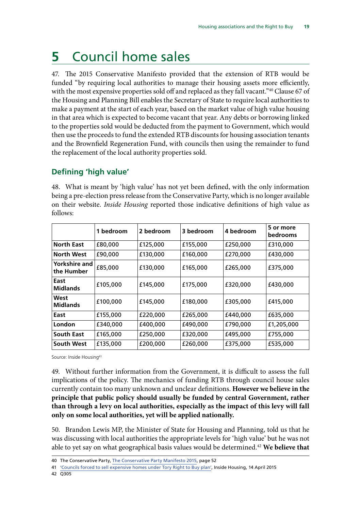# <span id="page-22-0"></span>**5** Council home sales

47. The 2015 Conservative Manifesto provided that the extension of RTB would be funded "by requiring local authorities to manage their housing assets more efficiently, with the most expensive properties sold off and replaced as they fall vacant."40 Clause 67 of the Housing and Planning Bill enables the Secretary of State to require local authorities to make a payment at the start of each year, based on the market value of high value housing in that area which is expected to become vacant that year. Any debts or borrowing linked to the properties sold would be deducted from the payment to Government, which would then use the proceeds to fund the extended RTB discounts for housing association tenants and the Brownfield Regeneration Fund, with councils then using the remainder to fund the replacement of the local authority properties sold.

### **Defining 'high value'**

48. What is meant by 'high value' has not yet been defined, with the only information being a pre-election press release from the Conservative Party, which is no longer available on their website. *Inside Housing* reported those indicative definitions of high value as follows:

|                             | bedroom<br>1 | 2 bedroom | 3 bedroom | 4 bedroom | 5 or more<br><b>bedrooms</b> |
|-----------------------------|--------------|-----------|-----------|-----------|------------------------------|
| <b>North East</b>           | £80,000      | £125,000  | £155,000  | £250,000  | £310,000                     |
| <b>North West</b>           | £90,000      | £130,000  | £160,000  | £270,000  | £430,000                     |
| Yorkshire and<br>the Humber | £85,000      | £130,000  | £165,000  | £265,000  | £375,000                     |
| East<br><b>Midlands</b>     | £105,000     | £145,000  | £175,000  | £320,000  | £430,000                     |
| West<br><b>Midlands</b>     | £100,000     | £145,000  | £180,000  | £305,000  | £415,000                     |
| East                        | £155,000     | £220,000  | £265,000  | £440,000  | £635,000                     |
| London                      | £340,000     | £400,000  | £490,000  | £790,000  | £1,205,000                   |
| <b>South East</b>           | £165,000     | £250,000  | £320,000  | £495,000  | £755,000                     |
| South West                  | £135,000     | £200,000  | £260,000  | £375,000  | £535,000                     |

Source: Inside Housing<sup>41</sup>

49. Without further information from the Government, it is difficult to assess the full implications of the policy. The mechanics of funding RTB through council house sales currently contain too many unknown and unclear definitions. **However we believe in the principle that public policy should usually be funded by central Government, rather than through a levy on local authorities, especially as the impact of this levy will fall only on some local authorities, yet will be applied nationally.**

50. Brandon Lewis MP, the Minister of State for Housing and Planning, told us that he was discussing with local authorities the appropriate levels for 'high value' but he was not able to yet say on what geographical basis values would be determined.<sup>42</sup> We believe that

41 ['Councils forced to sell expensive homes under Tory Right to Buy plan',](http://www.insidehousing.co.uk/councils-forced-to-sell-expensive-homes-under-tory-right-to-buy-plan/7009259.article) Inside Housing, 14 April 2015

<sup>40</sup> The Conservative Party, [The Conservative Party Manifesto 2015](https://s3-eu-west-1.amazonaws.com/manifesto2015/ConservativeManifesto2015.pdf), page 52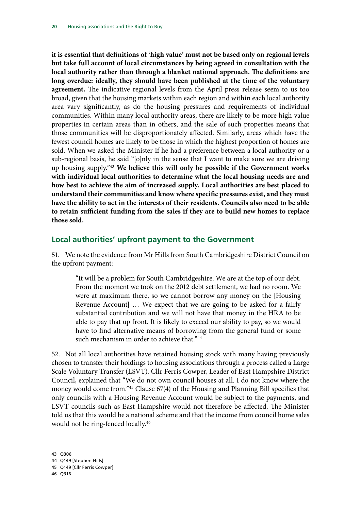<span id="page-23-0"></span>**it is essential that definitions of 'high value' must not be based only on regional levels but take full account of local circumstances by being agreed in consultation with the local authority rather than through a blanket national approach. The definitions are long overdue: ideally, they should have been published at the time of the voluntary agreement.** The indicative regional levels from the April press release seem to us too broad, given that the housing markets within each region and within each local authority area vary significantly, as do the housing pressures and requirements of individual communities. Within many local authority areas, there are likely to be more high value properties in certain areas than in others, and the sale of such properties means that those communities will be disproportionately affected. Similarly, areas which have the fewest council homes are likely to be those in which the highest proportion of homes are sold. When we asked the Minister if he had a preference between a local authority or a sub-regional basis, he said "[o]nly in the sense that I want to make sure we are driving up housing supply."43 **We believe this will only be possible if the Government works with individual local authorities to determine what the local housing needs are and how best to achieve the aim of increased supply. Local authorities are best placed to understand their communities and know where specific pressures exist, and they must have the ability to act in the interests of their residents. Councils also need to be able to retain sufficient funding from the sales if they are to build new homes to replace those sold.**

#### **Local authorities' upfront payment to the Government**

51. We note the evidence from Mr Hills from South Cambridgeshire District Council on the upfront payment:

"It will be a problem for South Cambridgeshire. We are at the top of our debt. From the moment we took on the 2012 debt settlement, we had no room. We were at maximum there, so we cannot borrow any money on the [Housing Revenue Account] … We expect that we are going to be asked for a fairly substantial contribution and we will not have that money in the HRA to be able to pay that up front. It is likely to exceed our ability to pay, so we would have to find alternative means of borrowing from the general fund or some such mechanism in order to achieve that."<sup>44</sup>

52. Not all local authorities have retained housing stock with many having previously chosen to transfer their holdings to housing associations through a process called a Large Scale Voluntary Transfer (LSVT). Cllr Ferris Cowper, Leader of East Hampshire District Council, explained that "We do not own council houses at all. I do not know where the money would come from."45 Clause 67(4) of the Housing and Planning Bill specifies that only councils with a Housing Revenue Account would be subject to the payments, and LSVT councils such as East Hampshire would not therefore be affected. The Minister told us that this would be a national scheme and that the income from council home sales would not be ring-fenced locally.46

<sup>43</sup> Q306

<sup>44</sup> Q149 [Stephen Hills]

<sup>45</sup> Q149 [Cllr Ferris Cowper]

<sup>46</sup> Q316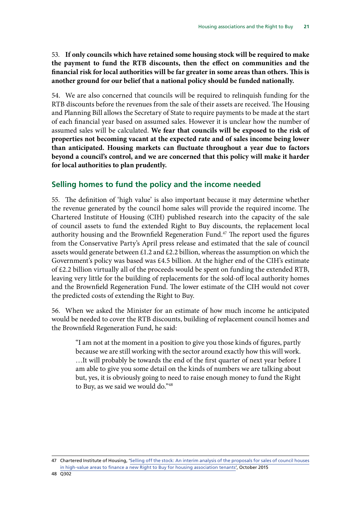<span id="page-24-0"></span>53. **If only councils which have retained some housing stock will be required to make the payment to fund the RTB discounts, then the effect on communities and the financial risk for local authorities will be far greater in some areas than others. This is another ground for our belief that a national policy should be funded nationally.**

54. We are also concerned that councils will be required to relinquish funding for the RTB discounts before the revenues from the sale of their assets are received. The Housing and Planning Bill allows the Secretary of State to require payments to be made at the start of each financial year based on assumed sales. However it is unclear how the number of assumed sales will be calculated. **We fear that councils will be exposed to the risk of properties not becoming vacant at the expected rate and of sales income being lower than anticipated. Housing markets can fluctuate throughout a year due to factors beyond a council's control, and we are concerned that this policy will make it harder for local authorities to plan prudently.**

### **Selling homes to fund the policy and the income needed**

55. The definition of 'high value' is also important because it may determine whether the revenue generated by the council home sales will provide the required income. The Chartered Institute of Housing (CIH) published research into the capacity of the sale of council assets to fund the extended Right to Buy discounts, the replacement local authority housing and the Brownfield Regeneration Fund.<sup>47</sup> The report used the figures from the Conservative Party's April press release and estimated that the sale of council assets would generate between £1.2 and £2.2 billion, whereas the assumption on which the Government's policy was based was £4.5 billion. At the higher end of the CIH's estimate of £2.2 billion virtually all of the proceeds would be spent on funding the extended RTB, leaving very little for the building of replacements for the sold-off local authority homes and the Brownfield Regeneration Fund. The lower estimate of the CIH would not cover the predicted costs of extending the Right to Buy.

56. When we asked the Minister for an estimate of how much income he anticipated would be needed to cover the RTB discounts, building of replacement council homes and the Brownfield Regeneration Fund, he said:

"I am not at the moment in a position to give you those kinds of figures, partly because we are still working with the sector around exactly how this will work. …It will probably be towards the end of the first quarter of next year before I am able to give you some detail on the kinds of numbers we are talking about but, yes, it is obviously going to need to raise enough money to fund the Right to Buy, as we said we would do."<sup>48</sup>

<sup>47</sup> Chartered Institute of Housing, '[Selling off the stock: An interim analysis of the proposals for sales of council houses](http://www.cih.org/resources/PDF/Policy%20free%20download%20pdfs/Selling%20off%20the%20stock%20-%20final.pdf) [in high-value areas to finance a new Right to Buy for housing association tenants'](http://www.cih.org/resources/PDF/Policy%20free%20download%20pdfs/Selling%20off%20the%20stock%20-%20final.pdf), October 2015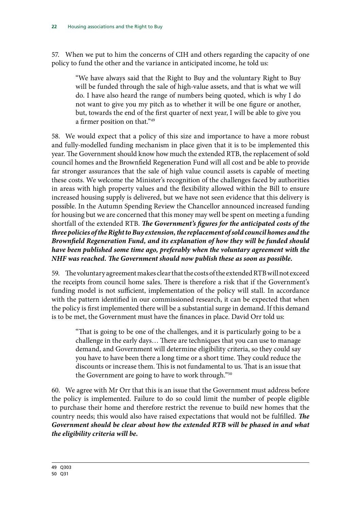57. When we put to him the concerns of CIH and others regarding the capacity of one policy to fund the other and the variance in anticipated income, he told us:

"We have always said that the Right to Buy and the voluntary Right to Buy will be funded through the sale of high-value assets, and that is what we will do. I have also heard the range of numbers being quoted, which is why I do not want to give you my pitch as to whether it will be one figure or another, but, towards the end of the first quarter of next year, I will be able to give you a firmer position on that."49

58. We would expect that a policy of this size and importance to have a more robust and fully-modelled funding mechanism in place given that it is to be implemented this year. The Government should know how much the extended RTB, the replacement of sold council homes and the Brownfield Regeneration Fund will all cost and be able to provide far stronger assurances that the sale of high value council assets is capable of meeting these costs. We welcome the Minister's recognition of the challenges faced by authorities in areas with high property values and the flexibility allowed within the Bill to ensure increased housing supply is delivered, but we have not seen evidence that this delivery is possible. In the Autumn Spending Review the Chancellor announced increased funding for housing but we are concerned that this money may well be spent on meeting a funding shortfall of the extended RTB. *The Government's figures for the anticipated costs of the three policies of the Right to Buy extension, the replacement of sold council homes and the Brownfield Regeneration Fund, and its explanation of how they will be funded should have been published some time ago, preferably when the voluntary agreement with the NHF was reached. The Government should now publish these as soon as possible.*

59. The voluntary agreement makes clear that the costs of the extended RTB will not exceed the receipts from council home sales. There is therefore a risk that if the Government's funding model is not sufficient, implementation of the policy will stall. In accordance with the pattern identified in our commissioned research, it can be expected that when the policy is first implemented there will be a substantial surge in demand. If this demand is to be met, the Government must have the finances in place. David Orr told us:

"That is going to be one of the challenges, and it is particularly going to be a challenge in the early days… There are techniques that you can use to manage demand, and Government will determine eligibility criteria, so they could say you have to have been there a long time or a short time. They could reduce the discounts or increase them. This is not fundamental to us. That is an issue that the Government are going to have to work through."<sup>50</sup>

60. We agree with Mr Orr that this is an issue that the Government must address before the policy is implemented. Failure to do so could limit the number of people eligible to purchase their home and therefore restrict the revenue to build new homes that the country needs; this would also have raised expectations that would not be fulfilled. *The Government should be clear about how the extended RTB will be phased in and what the eligibility criteria will be.*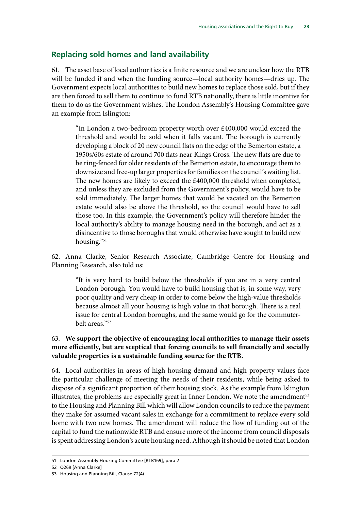### <span id="page-26-0"></span>**Replacing sold homes and land availability**

61. The asset base of local authorities is a finite resource and we are unclear how the RTB will be funded if and when the funding source—local authority homes—dries up. The Government expects local authorities to build new homes to replace those sold, but if they are then forced to sell them to continue to fund RTB nationally, there is little incentive for them to do as the Government wishes. The London Assembly's Housing Committee gave an example from Islington:

"in London a two-bedroom property worth over £400,000 would exceed the threshold and would be sold when it falls vacant. The borough is currently developing a block of 20 new council flats on the edge of the Bemerton estate, a 1950s/60s estate of around 700 flats near Kings Cross. The new flats are due to be ring-fenced for older residents of the Bemerton estate, to encourage them to downsize and free-up larger properties for families on the council's waiting list. The new homes are likely to exceed the £400,000 threshold when completed, and unless they are excluded from the Government's policy, would have to be sold immediately. The larger homes that would be vacated on the Bemerton estate would also be above the threshold, so the council would have to sell those too. In this example, the Government's policy will therefore hinder the local authority's ability to manage housing need in the borough, and act as a disincentive to those boroughs that would otherwise have sought to build new housing."51

62. Anna Clarke, Senior Research Associate, Cambridge Centre for Housing and Planning Research, also told us:

"It is very hard to build below the thresholds if you are in a very central London borough. You would have to build housing that is, in some way, very poor quality and very cheap in order to come below the high-value thresholds because almost all your housing is high value in that borough. There is a real issue for central London boroughs, and the same would go for the commuterbelt areas."52

#### 63. **We support the objective of encouraging local authorities to manage their assets more efficiently, but are sceptical that forcing councils to sell financially and socially valuable properties is a sustainable funding source for the RTB.**

64. Local authorities in areas of high housing demand and high property values face the particular challenge of meeting the needs of their residents, while being asked to dispose of a significant proportion of their housing stock. As the example from Islington illustrates, the problems are especially great in Inner London. We note the amendment $53$ to the Housing and Planning Bill which will allow London councils to reduce the payment they make for assumed vacant sales in exchange for a commitment to replace every sold home with two new homes. The amendment will reduce the flow of funding out of the capital to fund the nationwide RTB and ensure more of the income from council disposals is spent addressing London's acute housing need. Although it should be noted that London

<sup>51</sup> London Assembly Housing Committee [RTB169], para 2

<sup>52</sup> Q269 [Anna Clarke]

<sup>53</sup> Housing and Planning Bill, Clause 72(4)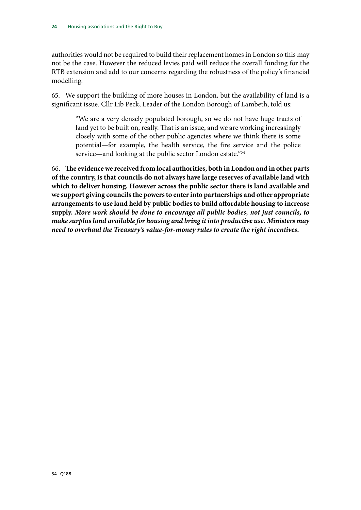authorities would not be required to build their replacement homes in London so this may not be the case. However the reduced levies paid will reduce the overall funding for the RTB extension and add to our concerns regarding the robustness of the policy's financial modelling.

65. We support the building of more houses in London, but the availability of land is a significant issue. Cllr Lib Peck, Leader of the London Borough of Lambeth, told us:

"We are a very densely populated borough, so we do not have huge tracts of land yet to be built on, really. That is an issue, and we are working increasingly closely with some of the other public agencies where we think there is some potential—for example, the health service, the fire service and the police service—and looking at the public sector London estate."<sup>54</sup>

66. **The evidence we received from local authorities, both in London and in other parts of the country, is that councils do not always have large reserves of available land with which to deliver housing. However across the public sector there is land available and we support giving councils the powers to enter into partnerships and other appropriate arrangements to use land held by public bodies to build affordable housing to increase supply.** *More work should be done to encourage all public bodies, not just councils, to make surplus land available for housing and bring it into productive use. Ministers may need to overhaul the Treasury's value-for-money rules to create the right incentives.*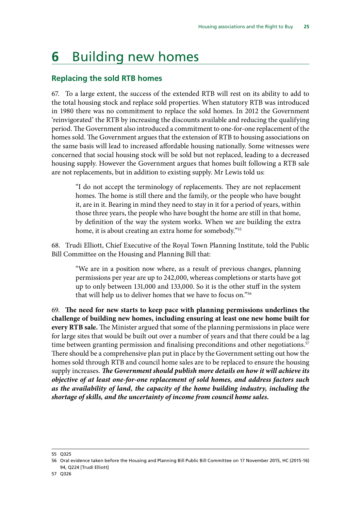# <span id="page-28-0"></span>**6** Building new homes

### **Replacing the sold RTB homes**

67. To a large extent, the success of the extended RTB will rest on its ability to add to the total housing stock and replace sold properties. When statutory RTB was introduced in 1980 there was no commitment to replace the sold homes. In 2012 the Government 'reinvigorated' the RTB by increasing the discounts available and reducing the qualifying period. The Government also introduced a commitment to one-for-one replacement of the homes sold. The Government argues that the extension of RTB to housing associations on the same basis will lead to increased affordable housing nationally. Some witnesses were concerned that social housing stock will be sold but not replaced, leading to a decreased housing supply. However the Government argues that homes built following a RTB sale are not replacements, but in addition to existing supply. Mr Lewis told us:

"I do not accept the terminology of replacements. They are not replacement homes. The home is still there and the family, or the people who have bought it, are in it. Bearing in mind they need to stay in it for a period of years, within those three years, the people who have bought the home are still in that home, by definition of the way the system works. When we are building the extra home, it is about creating an extra home for somebody."<sup>55</sup>

68. Trudi Elliott, Chief Executive of the Royal Town Planning Institute, told the Public Bill Committee on the Housing and Planning Bill that:

"We are in a position now where, as a result of previous changes, planning permissions per year are up to 242,000, whereas completions or starts have got up to only between 131,000 and 133,000. So it is the other stuff in the system that will help us to deliver homes that we have to focus on."56

69. **The need for new starts to keep pace with planning permissions underlines the challenge of building new homes, including ensuring at least one new home built for every RTB sale.** The Minister argued that some of the planning permissions in place were for large sites that would be built out over a number of years and that there could be a lag time between granting permission and finalising preconditions and other negotiations.<sup>57</sup> There should be a comprehensive plan put in place by the Government setting out how the homes sold through RTB and council home sales are to be replaced to ensure the housing supply increases. *The Government should publish more details on how it will achieve its objective of at least one-for-one replacement of sold homes, and address factors such as the availability of land, the capacity of the home building industry, including the shortage of skills, and the uncertainty of income from council home sales.*

<sup>55</sup> Q325

<sup>56</sup> Oral evidence taken before the Housing and Planning Bill Public Bill Committee on 17 November 2015, HC (2015-16) 94, Q224 [Trudi Elliott]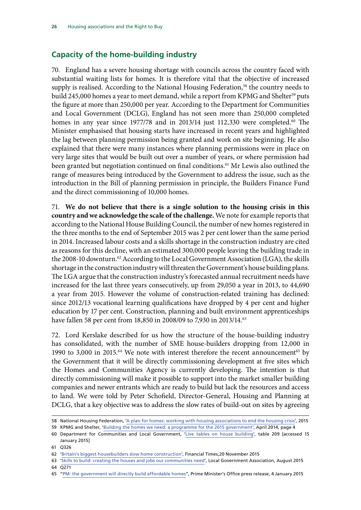### <span id="page-29-0"></span>**Capacity of the home-building industry**

70. England has a severe housing shortage with councils across the country faced with substantial waiting lists for homes. It is therefore vital that the objective of increased supply is realised. According to the National Housing Federation,<sup>58</sup> the country needs to build 245,000 homes a year to meet demand, while a report from KPMG and Shelter<sup>59</sup> puts the figure at more than 250,000 per year. According to the Department for Communities and Local Government (DCLG), England has not seen more than 250,000 completed homes in any year since 1977/78 and in 2013/14 just 112,330 were completed.<sup>60</sup> The Minister emphasised that housing starts have increased in recent years and highlighted the lag between planning permission being granted and work on site beginning. He also explained that there were many instances where planning permissions were in place on very large sites that would be built out over a number of years, or where permission had been granted but negotiation continued on final conditions.<sup>61</sup> Mr Lewis also outlined the range of measures being introduced by the Government to address the issue, such as the introduction in the Bill of planning permission in principle, the Builders Finance Fund and the direct commissioning of 10,000 homes.

71. **We do not believe that there is a single solution to the housing crisis in this country and we acknowledge the scale of the challenge.** We note for example reports that according to the National House Building Council, the number of new homes registered in the three months to the end of September 2015 was 2 per cent lower than the same period in 2014. Increased labour costs and a skills shortage in the construction industry are cited as reasons for this decline, with an estimated 300,000 people leaving the building trade in the 2008-10 downturn.<sup>62</sup> According to the Local Government Association (LGA), the skills shortage in the construction industry will threaten the Government's house building plans. The LGA argue that the construction industry's forecasted annual recruitment needs have increased for the last three years consecutively, up from 29,050 a year in 2013, to 44,690 a year from 2015. However the volume of construction-related training has declined: since 2012/13 vocational learning qualifications have dropped by 4 per cent and higher education by 17 per cent. Construction, planning and built environment apprenticeships have fallen 58 per cent from 18,850 in 2008/09 to 7,930 in 2013/14.63

72. Lord Kerslake described for us how the structure of the house-building industry has consolidated, with the number of SME house-builders dropping from 12,000 in 1990 to 3,000 in 2015.<sup>64</sup> We note with interest therefore the recent announcement<sup>65</sup> by the Government that it will be directly commissioning development at five sites which the Homes and Communities Agency is currently developing. The intention is that directly commissioning will make it possible to support into the market smaller building companies and newer entrants which are ready to build but lack the resources and access to land. We were told by Peter Schofield, Director-General, Housing and Planning at DCLG, that a key objective was to address the slow rates of build-out on sites by agreeing

<sup>58</sup> National Housing Federation, ['A plan for homes: working with housing associations to end the housing crisis](http://s3-eu-west-1.amazonaws.com/pub.housing.org.uk/A_plan_for_housing_FINAL_1.pdf)', 2015

<sup>59</sup> KPMG and Shelter, ['Building the homes we need: a programme for the 2015 government'](http://www.shelter.org.uk/__data/assets/pdf_file/0019/802270/Building_the_homes_we_need_-_a_programme_for_the_2015_government.pdf), April 2014, page 4

<sup>60</sup> Department for Communities and Local Government, '[Live tables on house building](https://www.gov.uk/government/statistical-data-sets/live-tables-on-house-building)', table 209 [accessed 15 January 2015]

<sup>61</sup> Q326

<sup>62</sup> 'Britain's biggest housebuilders slow home construction', Financial Times,20 November 2015

<sup>63</sup> '[Skills to build: creating the houses and jobs our communities need'](http://www.local.gov.uk/documents/10180/49942/Skills+to+build+-+Creating+the+houses+and+jobs+our+communities+need/c624085f-6e56-4cb7-9e83-5a37f481fea5), Local Government Association, August 2015 64 Q271

<sup>65</sup> ["PM: the government will directly build affordable homes"](https://www.gov.uk/government/news/pm-the-government-will-directly-build-affordable-homes), Prime Minister's Office press release, 4 January 2015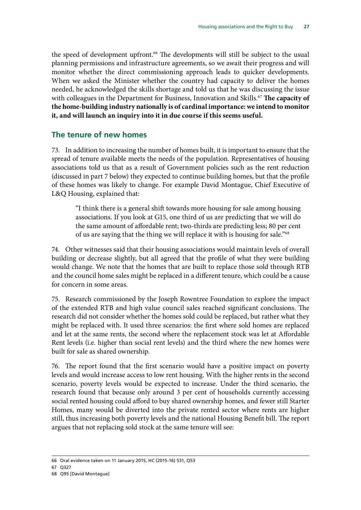<span id="page-30-0"></span>the speed of development upfront.<sup>66</sup> The developments will still be subject to the usual planning permissions and infrastructure agreements, so we await their progress and will monitor whether the direct commissioning approach leads to quicker developments. When we asked the Minister whether the country had capacity to deliver the homes needed, he acknowledged the skills shortage and told us that he was discussing the issue with colleagues in the Department for Business, Innovation and Skills.<sup>67</sup> The capacity of **the home-building industry nationally is of cardinal importance: we intend to monitor it, and will launch an inquiry into it in due course if this seems useful.**

### **The tenure of new homes**

73. In addition to increasing the number of homes built, it is important to ensure that the spread of tenure available meets the needs of the population. Representatives of housing associations told us that as a result of Government policies such as the rent reduction (discussed in part 7 below) they expected to continue building homes, but that the profile of these homes was likely to change. For example David Montague, Chief Executive of L&Q Housing, explained that:

"I think there is a general shift towards more housing for sale among housing associations. If you look at G15, one third of us are predicting that we will do the same amount of affordable rent; two-thirds are predicting less; 80 per cent of us are saying that the thing we will replace it with is housing for sale."68

74. Other witnesses said that their housing associations would maintain levels of overall building or decrease slightly, but all agreed that the profile of what they were building would change. We note that the homes that are built to replace those sold through RTB and the council home sales might be replaced in a different tenure, which could be a cause for concern in some areas.

75. Research commissioned by the Joseph Rowntree Foundation to explore the impact of the extended RTB and high value council sales reached significant conclusions. The research did not consider whether the homes sold could be replaced, but rather what they might be replaced with. It used three scenarios: the first where sold homes are replaced and let at the same rents, the second where the replacement stock was let at Affordable Rent levels (i.e. higher than social rent levels) and the third where the new homes were built for sale as shared ownership.

76. The report found that the first scenario would have a positive impact on poverty levels and would increase access to low rent housing. With the higher rents in the second scenario, poverty levels would be expected to increase. Under the third scenario, the research found that because only around 3 per cent of households currently accessing social rented housing could afford to buy shared ownership homes, and fewer still Starter Homes, many would be diverted into the private rented sector where rents are higher still, thus increasing both poverty levels and the national Housing Benefit bill. The report argues that not replacing sold stock at the same tenure will see:

<sup>66</sup> Oral evidence taken on 11 January 2015, HC (2015-16) 531, Q53

<sup>67</sup> Q327

<sup>68</sup> Q95 [David Montague]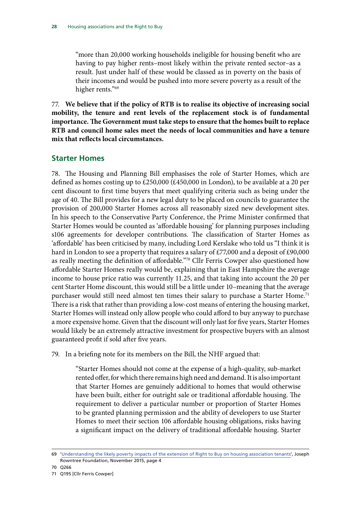<span id="page-31-0"></span>"more than 20,000 working households ineligible for housing benefit who are having to pay higher rents–most likely within the private rented sector–as a result. Just under half of these would be classed as in poverty on the basis of their incomes and would be pushed into more severe poverty as a result of the higher rents."<sup>69</sup>

77. **We believe that if the policy of RTB is to realise its objective of increasing social mobility, the tenure and rent levels of the replacement stock is of fundamental importance. The Government must take steps to ensure that the homes built to replace RTB and council home sales meet the needs of local communities and have a tenure mix that reflects local circumstances.**

#### **Starter Homes**

78. The Housing and Planning Bill emphasises the role of Starter Homes, which are defined as homes costing up to £250,000 (£450,000 in London), to be available at a 20 per cent discount to first time buyers that meet qualifying criteria such as being under the age of 40. The Bill provides for a new legal duty to be placed on councils to guarantee the provision of 200,000 Starter Homes across all reasonably sized new development sites. In his speech to the Conservative Party Conference, the Prime Minister confirmed that Starter Homes would be counted as 'affordable housing' for planning purposes including s106 agreements for developer contributions. The classification of Starter Homes as 'affordable' has been criticised by many, including Lord Kerslake who told us "I think it is hard in London to see a property that requires a salary of £77,000 and a deposit of £90,000 as really meeting the definition of affordable."70 Cllr Ferris Cowper also questioned how affordable Starter Homes really would be, explaining that in East Hampshire the average income to house price ratio was currently 11.25, and that taking into account the 20 per cent Starter Home discount, this would still be a little under 10–meaning that the average purchaser would still need almost ten times their salary to purchase a Starter Home.<sup>71</sup> There is a risk that rather than providing a low-cost means of entering the housing market, Starter Homes will instead only allow people who could afford to buy anyway to purchase a more expensive home. Given that the discount will only last for five years, Starter Homes would likely be an extremely attractive investment for prospective buyers with an almost guaranteed profit if sold after five years.

79. In a briefing note for its members on the Bill, the NHF argued that:

"Starter Homes should not come at the expense of a high-quality, sub-market rented offer, for which there remains high need and demand. It is also important that Starter Homes are genuinely additional to homes that would otherwise have been built, either for outright sale or traditional affordable housing. The requirement to deliver a particular number or proportion of Starter Homes to be granted planning permission and the ability of developers to use Starter Homes to meet their section 106 affordable housing obligations, risks having a significant impact on the delivery of traditional affordable housing. Starter

<sup>69</sup> ['Understanding the likely poverty impacts of the extension of Right to Buy on housing association tenants'](http://www.cchpr.landecon.cam.ac.uk/Projects/Start-Year/2015/Understanding-likely-poverty-impacts-of-extension-Right-to-Buy-HA-tenants/Project-Report), Joseph Rowntree Foundation, November 2015, page 4

<sup>70</sup> Q266

<sup>71</sup> Q195 [Cllr Ferris Cowper]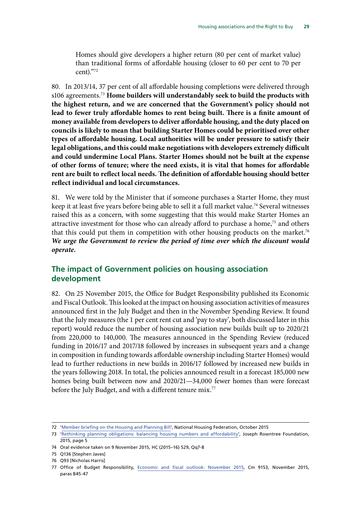<span id="page-32-0"></span>Homes should give developers a higher return (80 per cent of market value) than traditional forms of affordable housing (closer to 60 per cent to 70 per cent)."72

80. In 2013/14, 37 per cent of all affordable housing completions were delivered through s106 agreements.73 **Home builders will understandably seek to build the products with the highest return, and we are concerned that the Government's policy should not lead to fewer truly affordable homes to rent being built. There is a finite amount of money available from developers to deliver affordable housing, and the duty placed on councils is likely to mean that building Starter Homes could be prioritised over other types of affordable housing. Local authorities will be under pressure to satisfy their legal obligations, and this could make negotiations with developers extremely difficult and could undermine Local Plans. Starter Homes should not be built at the expense of other forms of tenure; where the need exists, it is vital that homes for affordable rent are built to reflect local needs. The definition of affordable housing should better reflect individual and local circumstances.**

81. We were told by the Minister that if someone purchases a Starter Home, they must keep it at least five years before being able to sell it a full market value.<sup>74</sup> Several witnesses raised this as a concern, with some suggesting that this would make Starter Homes an attractive investment for those who can already afford to purchase a home,<sup>75</sup> and others that this could put them in competition with other housing products on the market.<sup>76</sup> *We urge the Government to review the period of time over which the discount would operate.*

### **The impact of Government policies on housing association development**

82. On 25 November 2015, the Office for Budget Responsibility published its Economic and Fiscal Outlook. This looked at the impact on housing association activities of measures announced first in the July Budget and then in the November Spending Review. It found that the July measures (the 1 per cent rent cut and 'pay to stay', both discussed later in this report) would reduce the number of housing association new builds built up to 2020/21 from 220,000 to 140,000. The measures announced in the Spending Review (reduced funding in 2016/17 and 2017/18 followed by increases in subsequent years and a change in composition in funding towards affordable ownership including Starter Homes) would lead to further reductions in new builds in 2016/17 followed by increased new builds in the years following 2018. In total, the policies announced result in a forecast 185,000 new homes being built between now and 2020/21—34,000 fewer homes than were forecast before the July Budget, and with a different tenure mix.<sup>77</sup>

<sup>72</sup> ['Member briefing on the Housing and Planning Bill'](http://nationalhousingfederation.newsweaver.com/icfiles/1/55885/104325/5373602/134359243fd934b7eb5668e7/member%20briefing%20on%20the%20housing%20and%20planning%20bill.pdf), National Housing Federation, October 2015

<sup>73</sup> ['Rethinking planning obligations: balancing housing numbers and affordability](https://www.jrf.org.uk/report/rethinking-planning-obligations-balancing-housing-numbers-and-affordability)', Joseph Rowntree Foundation, 2015, page 5

<sup>74</sup> Oral evidence taken on 9 November 2015, HC (2015–16) 529, Qq7-8

<sup>75</sup> Q136 [Stephen Javes]

<sup>76</sup> Q93 [Nicholas Harris]

<sup>77</sup> Office of Budget Responsibility, [Economic and fiscal outlook: November 2015,](http://cdn.budgetresponsibility.independent.gov.uk/EFO_November__2015.pdf) Cm 9153, November 2015, paras B45-47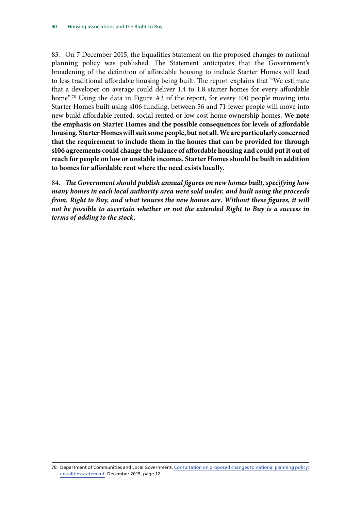83. On 7 December 2015, the Equalities Statement on the proposed changes to national planning policy was published. The Statement anticipates that the Government's broadening of the definition of affordable housing to include Starter Homes will lead to less traditional affordable housing being built. The report explains that "We estimate that a developer on average could deliver 1.4 to 1.8 starter homes for every affordable home".<sup>78</sup> Using the data in Figure A3 of the report, for every 100 people moving into Starter Homes built using s106 funding, between 56 and 71 fewer people will move into new build affordable rented, social rented or low cost home ownership homes. **We note the emphasis on Starter Homes and the possible consequences for levels of affordable housing. Starter Homes will suit some people, but not all. We are particularly concerned that the requirement to include them in the homes that can be provided for through s106 agreements could change the balance of affordable housing and could put it out of reach for people on low or unstable incomes. Starter Homes should be built in addition to homes for affordable rent where the need exists locally.**

84. *The Government should publish annual figures on new homes built, specifying how many homes in each local authority area were sold under, and built using the proceeds from, Right to Buy, and what tenures the new homes are. Without these figures, it will not be possible to ascertain whether or not the extended Right to Buy is a success in terms of adding to the stock.*

78 Department of Communities and Local Government, [Consultation on proposed changes to national planning policy:](https://www.gov.uk/government/uploads/system/uploads/attachment_data/file/482890/Equalities_statement_NPPF_fin.pdf)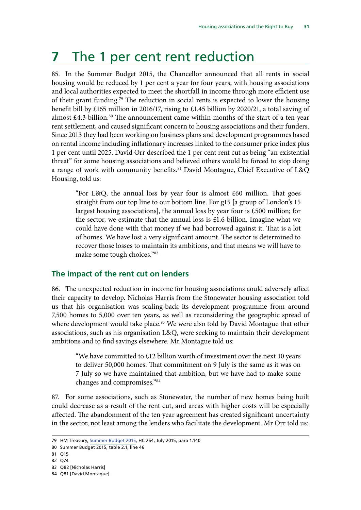# <span id="page-34-0"></span>**7** The 1 per cent rent reduction

85. In the Summer Budget 2015, the Chancellor announced that all rents in social housing would be reduced by 1 per cent a year for four years, with housing associations and local authorities expected to meet the shortfall in income through more efficient use of their grant funding.79 The reduction in social rents is expected to lower the housing benefit bill by £165 million in 2016/17, rising to £1.45 billion by 2020/21, a total saving of almost  $£4.3$  billion.<sup>80</sup> The announcement came within months of the start of a ten-year rent settlement, and caused significant concern to housing associations and their funders. Since 2013 they had been working on business plans and development programmes based on rental income including inflationary increases linked to the consumer price index plus 1 per cent until 2025. David Orr described the 1 per cent rent cut as being "an existential threat" for some housing associations and believed others would be forced to stop doing a range of work with community benefits.<sup>81</sup> David Montague, Chief Executive of L&Q Housing, told us:

"For L&Q, the annual loss by year four is almost £60 million. That goes straight from our top line to our bottom line. For g15 [a group of London's 15 largest housing associations], the annual loss by year four is £500 million; for the sector, we estimate that the annual loss is  $£1.6$  billion. Imagine what we could have done with that money if we had borrowed against it. That is a lot of homes. We have lost a very significant amount. The sector is determined to recover those losses to maintain its ambitions, and that means we will have to make some tough choices."82

#### **The impact of the rent cut on lenders**

86. The unexpected reduction in income for housing associations could adversely affect their capacity to develop. Nicholas Harris from the Stonewater housing association told us that his organisation was scaling-back its development programme from around 7,500 homes to 5,000 over ten years, as well as reconsidering the geographic spread of where development would take place.<sup>83</sup> We were also told by David Montague that other associations, such as his organisation L&Q, were seeking to maintain their development ambitions and to find savings elsewhere. Mr Montague told us:

"We have committed to £12 billion worth of investment over the next 10 years to deliver 50,000 homes. That commitment on 9 July is the same as it was on 7 July so we have maintained that ambition, but we have had to make some changes and compromises."84

87. For some associations, such as Stonewater, the number of new homes being built could decrease as a result of the rent cut, and areas with higher costs will be especially affected. The abandonment of the ten year agreement has created significant uncertainty in the sector, not least among the lenders who facilitate the development. Mr Orr told us:

- 81 Q15
- 82 Q74

<sup>79</sup> HM Treasury, [Summer Budget 2015](https://www.gov.uk/government/uploads/system/uploads/attachment_data/file/443232/50325_Summer_Budget_15_Web_Accessible.pdf), HC 264, July 2015, para 1.140

<sup>80</sup> Summer Budget 2015, table 2.1, line 46

<sup>83</sup> Q82 [Nicholas Harris]

<sup>84</sup> Q81 [David Montague]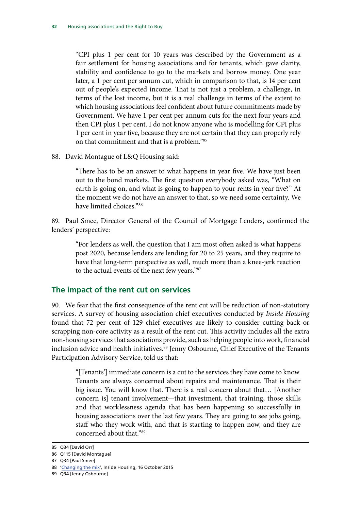<span id="page-35-0"></span>"CPI plus 1 per cent for 10 years was described by the Government as a fair settlement for housing associations and for tenants, which gave clarity, stability and confidence to go to the markets and borrow money. One year later, a 1 per cent per annum cut, which in comparison to that, is 14 per cent out of people's expected income. That is not just a problem, a challenge, in terms of the lost income, but it is a real challenge in terms of the extent to which housing associations feel confident about future commitments made by Government. We have 1 per cent per annum cuts for the next four years and then CPI plus 1 per cent. I do not know anyone who is modelling for CPI plus 1 per cent in year five, because they are not certain that they can properly rely on that commitment and that is a problem."85

88. David Montague of L&Q Housing said:

"There has to be an answer to what happens in year five. We have just been out to the bond markets. The first question everybody asked was, "What on earth is going on, and what is going to happen to your rents in year five?" At the moment we do not have an answer to that, so we need some certainty. We have limited choices."86

89. Paul Smee, Director General of the Council of Mortgage Lenders, confirmed the lenders' perspective:

"For lenders as well, the question that I am most often asked is what happens post 2020, because lenders are lending for 20 to 25 years, and they require to have that long-term perspective as well, much more than a knee-jerk reaction to the actual events of the next few years."87

#### **The impact of the rent cut on services**

90. We fear that the first consequence of the rent cut will be reduction of non-statutory services. A survey of housing association chief executives conducted by *Inside Housing*  found that 72 per cent of 129 chief executives are likely to consider cutting back or scrapping non-core activity as a result of the rent cut. This activity includes all the extra non-housing services that associations provide, such as helping people into work, financial inclusion advice and health initiatives.<sup>88</sup> Jenny Osbourne, Chief Executive of the Tenants Participation Advisory Service, told us that:

"[Tenants'] immediate concern is a cut to the services they have come to know. Tenants are always concerned about repairs and maintenance. That is their big issue. You will know that. There is a real concern about that… [Another concern is] tenant involvement—that investment, that training, those skills and that worklessness agenda that has been happening so successfully in housing associations over the last few years. They are going to see jobs going, staff who they work with, and that is starting to happen now, and they are concerned about that."89

<sup>85</sup> Q34 [David Orr]

<sup>86</sup> Q115 [David Montague]

<sup>87</sup> Q34 [Paul Smee]

<sup>88</sup> ['Changing the mix'](http://www.insidehousing.co.uk/analysis-and-data/data/changing-the-mix/7012193.article), Inside Housing, 16 October 2015

<sup>89</sup> Q34 [Jenny Osbourne]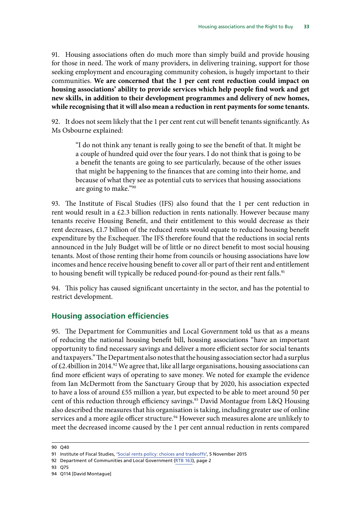<span id="page-36-0"></span>91. Housing associations often do much more than simply build and provide housing for those in need. The work of many providers, in delivering training, support for those seeking employment and encouraging community cohesion, is hugely important to their communities. **We are concerned that the 1 per cent rent reduction could impact on housing associations' ability to provide services which help people find work and get new skills, in addition to their development programmes and delivery of new homes, while recognising that it will also mean a reduction in rent payments for some tenants.**

92. It does not seem likely that the 1 per cent rent cut will benefit tenants significantly. As Ms Osbourne explained:

"I do not think any tenant is really going to see the benefit of that. It might be a couple of hundred quid over the four years. I do not think that is going to be a benefit the tenants are going to see particularly, because of the other issues that might be happening to the finances that are coming into their home, and because of what they see as potential cuts to services that housing associations are going to make."90

93. The Institute of Fiscal Studies (IFS) also found that the 1 per cent reduction in rent would result in a £2.3 billion reduction in rents nationally. However because many tenants receive Housing Benefit, and their entitlement to this would decrease as their rent decreases, £1.7 billion of the reduced rents would equate to reduced housing benefit expenditure by the Exchequer. The IFS therefore found that the reductions in social rents announced in the July Budget will be of little or no direct benefit to most social housing tenants. Most of those renting their home from councils or housing associations have low incomes and hence receive housing benefit to cover all or part of their rent and entitlement to housing benefit will typically be reduced pound-for-pound as their rent falls.<sup>91</sup>

94. This policy has caused significant uncertainty in the sector, and has the potential to restrict development.

#### **Housing association efficiencies**

95. The Department for Communities and Local Government told us that as a means of reducing the national housing benefit bill, housing associations "have an important opportunity to find necessary savings and deliver a more efficient sector for social tenants and taxpayers." The Department also notes that the housing association sector had a surplus of  $\pounds$ 2.4billion in 2014.<sup>92</sup> We agree that, like all large organisations, housing associations can find more efficient ways of operating to save money. We noted for example the evidence from Ian McDermott from the Sanctuary Group that by 2020, his association expected to have a loss of around £55 million a year, but expected to be able to meet around 50 per cent of this reduction through efficiency savings.<sup>93</sup> David Montague from L&Q Housing also described the measures that his organisation is taking, including greater use of online services and a more agile officer structure.<sup>94</sup> However such measures alone are unlikely to meet the decreased income caused by the 1 per cent annual reduction in rents compared

<sup>90</sup> Q40

<sup>91</sup> Institute of Fiscal Studies, ['Social rents policy: choices and tradeoffs](http://www.ifs.org.uk/publications/8036)', 5 November 2015

<sup>92</sup> Department of Communities and Local Government [\(RTB 163\)](http://data.parliament.uk/writtenevidence/committeeevidence.svc/evidencedocument/communities-and-local-government-committee/the-housing-association-sector-and-the-right-to-buy/written/21044.html), page 2

<sup>93</sup> Q75

<sup>94</sup> Q114 [David Montague]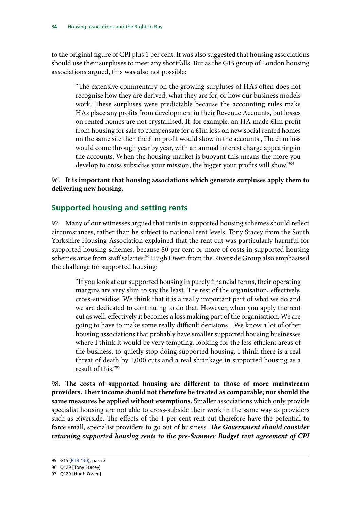<span id="page-37-0"></span>to the original figure of CPI plus 1 per cent. It was also suggested that housing associations should use their surpluses to meet any shortfalls. But as the G15 group of London housing associations argued, this was also not possible:

"The extensive commentary on the growing surpluses of HAs often does not recognise how they are derived, what they are for, or how our business models work. These surpluses were predictable because the accounting rules make HAs place any profits from development in their Revenue Accounts, but losses on rented homes are not crystallised. If, for example, an HA made £1m profit from housing for sale to compensate for a £1m loss on new social rented homes on the same site then the £1m profit would show in the accounts., The £1m loss would come through year by year, with an annual interest charge appearing in the accounts. When the housing market is buoyant this means the more you develop to cross subsidise your mission, the bigger your profits will show."<sup>95</sup>

#### 96. **It is important that housing associations which generate surpluses apply them to delivering new housing.**

### **Supported housing and setting rents**

97. Many of our witnesses argued that rents in supported housing schemes should reflect circumstances, rather than be subject to national rent levels. Tony Stacey from the South Yorkshire Housing Association explained that the rent cut was particularly harmful for supported housing schemes, because 80 per cent or more of costs in supported housing schemes arise from staff salaries.<sup>96</sup> Hugh Owen from the Riverside Group also emphasised the challenge for supported housing:

"If you look at our supported housing in purely financial terms, their operating margins are very slim to say the least. The rest of the organisation, effectively, cross-subsidise. We think that it is a really important part of what we do and we are dedicated to continuing to do that. However, when you apply the rent cut as well, effectively it becomes a loss making part of the organisation. We are going to have to make some really difficult decisions…We know a lot of other housing associations that probably have smaller supported housing businesses where I think it would be very tempting, looking for the less efficient areas of the business, to quietly stop doing supported housing. I think there is a real threat of death by 1,000 cuts and a real shrinkage in supported housing as a result of this."97

98. **The costs of supported housing are different to those of more mainstream providers. Their income should not therefore be treated as comparable; nor should the same measures be applied without exemptions.** Smaller associations which only provide specialist housing are not able to cross-subside their work in the same way as providers such as Riverside. The effects of the 1 per cent rent cut therefore have the potential to force small, specialist providers to go out of business. *The Government should consider returning supported housing rents to the pre-Summer Budget rent agreement of CPI* 

<sup>95</sup> G15 [\(RTB 130](http://data.parliament.uk/writtenevidence/committeeevidence.svc/evidencedocument/communities-and-local-government-committee/the-housing-association-sector-and-the-right-to-buy/written/20098.html)), para 3

<sup>96</sup> Q129 [Tony Stacey]

<sup>97</sup> Q129 [Hugh Owen]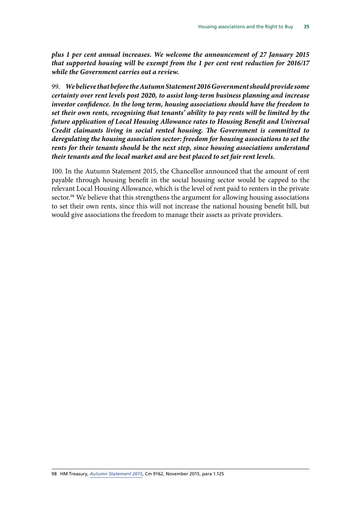*plus 1 per cent annual increases. We welcome the announcement of 27 January 2015 that supported housing will be exempt from the 1 per cent rent reduction for 2016/17 while the Government carries out a review.*

99. *We believe that before the Autumn Statement 2016 Government should provide some certainty over rent levels post 2020, to assist long-term business planning and increase investor confidence. In the long term, housing associations should have the freedom to set their own rents, recognising that tenants' ability to pay rents will be limited by the future application of Local Housing Allowance rates to Housing Benefit and Universal Credit claimants living in social rented housing. The Government is committed to deregulating the housing association sector: freedom for housing associations to set the rents for their tenants should be the next step, since housing associations understand their tenants and the local market and are best placed to set fair rent levels.*

100. In the Autumn Statement 2015, the Chancellor announced that the amount of rent payable through housing benefit in the social housing sector would be capped to the relevant Local Housing Allowance, which is the level of rent paid to renters in the private sector.<sup>98</sup> We believe that this strengthens the argument for allowing housing associations to set their own rents, since this will not increase the national housing benefit bill, but would give associations the freedom to manage their assets as private providers.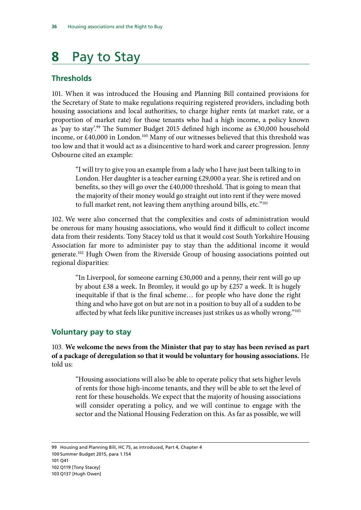# <span id="page-39-0"></span>**8** Pay to Stay

### **Thresholds**

101. When it was introduced the Housing and Planning Bill contained provisions for the Secretary of State to make regulations requiring registered providers, including both housing associations and local authorities, to charge higher rents (at market rate, or a proportion of market rate) for those tenants who had a high income, a policy known as 'pay to stay'.99 The Summer Budget 2015 defined high income as £30,000 household income, or £40,000 in London.<sup>100</sup> Many of our witnesses believed that this threshold was too low and that it would act as a disincentive to hard work and career progression. Jenny Osbourne cited an example:

"I will try to give you an example from a lady who I have just been talking to in London. Her daughter is a teacher earning £29,000 a year. She is retired and on benefits, so they will go over the £40,000 threshold. That is going to mean that the majority of their money would go straight out into rent if they were moved to full market rent, not leaving them anything around bills, etc."<sup>101</sup>

102. We were also concerned that the complexities and costs of administration would be onerous for many housing associations, who would find it difficult to collect income data from their residents. Tony Stacey told us that it would cost South Yorkshire Housing Association far more to administer pay to stay than the additional income it would generate.102 Hugh Owen from the Riverside Group of housing associations pointed out regional disparities:

"In Liverpool, for someone earning  $£30,000$  and a penny, their rent will go up by about £38 a week. In Bromley, it would go up by £257 a week. It is hugely inequitable if that is the final scheme… for people who have done the right thing and who have got on but are not in a position to buy all of a sudden to be affected by what feels like punitive increases just strikes us as wholly wrong."<sup>103</sup>

### **Voluntary pay to stay**

103. **We welcome the news from the Minister that pay to stay has been revised as part of a package of deregulation so that it would be voluntary for housing associations.** He told us:

"Housing associations will also be able to operate policy that sets higher levels of rents for those high-income tenants, and they will be able to set the level of rent for these households. We expect that the majority of housing associations will consider operating a policy, and we will continue to engage with the sector and the National Housing Federation on this. As far as possible, we will

 Housing and Planning Bill, HC 75, as introduced, Part 4, Chapter 4 Summer Budget 2015, para 1.154 101 Q41 Q119 [Tony Stacey] Q137 [Hugh Owen]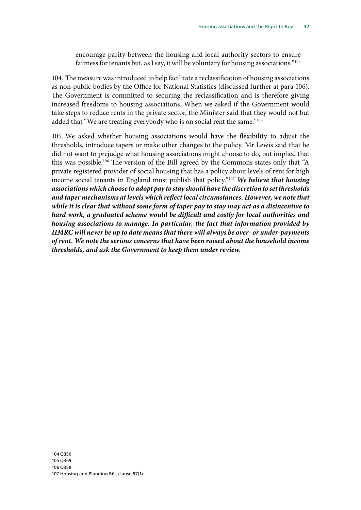encourage parity between the housing and local authority sectors to ensure fairness for tenants but, as I say, it will be voluntary for housing associations."104

104. The measure was introduced to help facilitate a reclassification of housing associations as non-public bodies by the Office for National Statistics (discussed further at para 106). The Government is committed to securing the reclassification and is therefore giving increased freedoms to housing associations. When we asked if the Government would take steps to reduce rents in the private sector, the Minister said that they would not but added that "We are treating everybody who is on social rent the same."105

105. We asked whether housing associations would have the flexibility to adjust the thresholds, introduce tapers or make other changes to the policy. Mr Lewis said that he did not want to prejudge what housing associations might choose to do, but implied that this was possible.106 The version of the Bill agreed by the Commons states only that "A private registered provider of social housing that has a policy about levels of rent for high income social tenants in England must publish that policy."107 *We believe that housing associations which choose to adopt pay to stay should have the discretion to set thresholds and taper mechanisms at levels which reflect local circumstances. However, we note that while it is clear that without some form of taper pay to stay may act as a disincentive to hard work, a graduated scheme would be difficult and costly for local authorities and housing associations to manage. In particular, the fact that information provided by HMRC will never be up to date means that there will always be over- or under-payments of rent. We note the serious concerns that have been raised about the household income thresholds, and ask the Government to keep them under review.*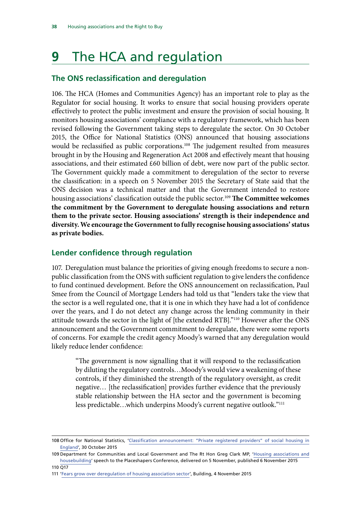# <span id="page-41-0"></span>**9** The HCA and regulation

### **The ONS reclassification and deregulation**

106. The HCA (Homes and Communities Agency) has an important role to play as the Regulator for social housing. It works to ensure that social housing providers operate effectively to protect the public investment and ensure the provision of social housing. It monitors housing associations' compliance with a regulatory framework, which has been revised following the Government taking steps to deregulate the sector. On 30 October 2015, the Office for National Statistics (ONS) announced that housing associations would be reclassified as public corporations.<sup>108</sup> The judgement resulted from measures brought in by the Housing and Regeneration Act 2008 and effectively meant that housing associations, and their estimated £60 billion of debt, were now part of the public sector. The Government quickly made a commitment to deregulation of the sector to reverse the classification: in a speech on 5 November 2015 the Secretary of State said that the ONS decision was a technical matter and that the Government intended to restore housing associations' classification outside the public sector.<sup>109</sup> The Committee welcomes **the commitment by the Government to deregulate housing associations and return them to the private sector. Housing associations' strength is their independence and diversity. We encourage the Government to fully recognise housing associations' status as private bodies.**

### **Lender confidence through regulation**

107. Deregulation must balance the priorities of giving enough freedoms to secure a nonpublic classification from the ONS with sufficient regulation to give lenders the confidence to fund continued development. Before the ONS announcement on reclassification, Paul Smee from the Council of Mortgage Lenders had told us that "lenders take the view that the sector is a well regulated one, that it is one in which they have had a lot of confidence over the years, and I do not detect any change across the lending community in their attitude towards the sector in the light of [the extended RTB]."110 However after the ONS announcement and the Government commitment to deregulate, there were some reports of concerns. For example the credit agency Moody's warned that any deregulation would likely reduce lender confidence:

"The government is now signalling that it will respond to the reclassification by diluting the regulatory controls…Moody's would view a weakening of these controls, if they diminished the strength of the regulatory oversight, as credit negative… [the reclassification] provides further evidence that the previously stable relationship between the HA sector and the government is becoming less predictable…which underpins Moody's current negative outlook."111

<sup>108</sup> Office for National Statistics, '[Classification announcement: "Private registered providers" of social housing in](http://www.ons.gov.uk/ons/rel/na-classification/national-accounts-sector-classification/classification-update---october-2015/index.html) [England'](http://www.ons.gov.uk/ons/rel/na-classification/national-accounts-sector-classification/classification-update---october-2015/index.html), 30 October 2015

<sup>109</sup> Department for Communities and Local Government and The Rt Hon Greg Clark MP, ['Housing associations and](https://www.gov.uk/government/speeches/housing-associations-and-housebuilding) [housebuilding'](https://www.gov.uk/government/speeches/housing-associations-and-housebuilding) speech to the Placeshapers Conference, delivered on 5 November, published 6 November 2015 110 Q17

<sup>111</sup> ['Fears grow over deregulation of housing association sector'](http://www.building.co.uk/fears-grow-over-deregulation-of-housing-association-sector/5078505.article), Building, 4 November 2015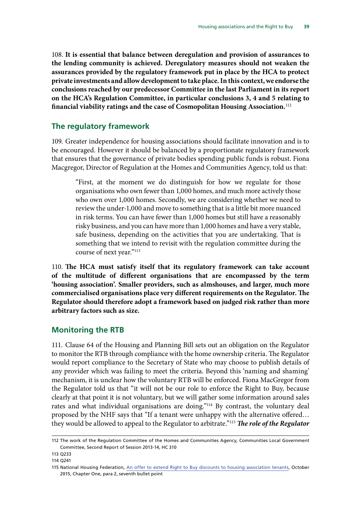<span id="page-42-0"></span>108. **It is essential that balance between deregulation and provision of assurances to the lending community is achieved. Deregulatory measures should not weaken the assurances provided by the regulatory framework put in place by the HCA to protect private investments and allow development to take place. In this context, we endorse the conclusions reached by our predecessor Committee in the last Parliament in its report on the HCA's Regulation Committee, in particular conclusions 3, 4 and 5 relating to financial viability ratings and the case of Cosmopolitan Housing Association.**<sup>112</sup>

#### **The regulatory framework**

109. Greater independence for housing associations should facilitate innovation and is to be encouraged. However it should be balanced by a proportionate regulatory framework that ensures that the governance of private bodies spending public funds is robust. Fiona Macgregor, Director of Regulation at the Homes and Communities Agency, told us that:

"First, at the moment we do distinguish for how we regulate for those organisations who own fewer than 1,000 homes, and much more actively those who own over 1,000 homes. Secondly, we are considering whether we need to review the under-1,000 and move to something that is a little bit more nuanced in risk terms. You can have fewer than 1,000 homes but still have a reasonably risky business, and you can have more than 1,000 homes and have a very stable, safe business, depending on the activities that you are undertaking. That is something that we intend to revisit with the regulation committee during the course of next year."113

110. **The HCA must satisfy itself that its regulatory framework can take account of the multitude of different organisations that are encompassed by the term 'housing association'. Smaller providers, such as almshouses, and larger, much more commercialised organisations place very different requirements on the Regulator. The Regulator should therefore adopt a framework based on judged risk rather than more arbitrary factors such as size.**

#### **Monitoring the RTB**

111. Clause 64 of the Housing and Planning Bill sets out an obligation on the Regulator to monitor the RTB through compliance with the home ownership criteria. The Regulator would report compliance to the Secretary of State who may choose to publish details of any provider which was failing to meet the criteria. Beyond this 'naming and shaming' mechanism, it is unclear how the voluntary RTB will be enforced. Fiona MacGregor from the Regulator told us that "it will not be our role to enforce the Right to Buy, because clearly at that point it is not voluntary, but we will gather some information around sales rates and what individual organisations are doing."<sup>114</sup> By contrast, the voluntary deal proposed by the NHF says that "If a tenant were unhappy with the alternative offered… they would be allowed to appeal to the Regulator to arbitrate."115 *The role of the Regulator* 

<sup>112</sup> The work of the Regulation Committee of the Homes and Communities Agency, Communities Local Government Committee, Second Report of Session 2013-14, HC 310

<sup>113</sup> Q233

<sup>114</sup> Q241

<sup>115</sup> National Housing Federation, [An offer to extend Right to Buy discounts to housing association tenants](http://s3-eu-west-1.amazonaws.com/doc.housing.org.uk/Editorial/RTB/Fed_RTB_Offer.pdf), October 2015, Chapter One, para 2, seventh bullet point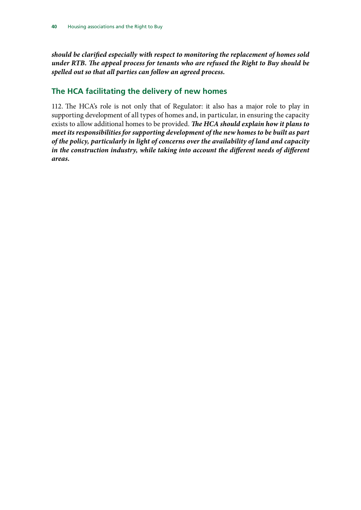<span id="page-43-0"></span>*should be clarified especially with respect to monitoring the replacement of homes sold under RTB. The appeal process for tenants who are refused the Right to Buy should be spelled out so that all parties can follow an agreed process.*

### **The HCA facilitating the delivery of new homes**

112. The HCA's role is not only that of Regulator: it also has a major role to play in supporting development of all types of homes and, in particular, in ensuring the capacity exists to allow additional homes to be provided. *The HCA should explain how it plans to meet its responsibilities for supporting development of the new homes to be built as part of the policy, particularly in light of concerns over the availability of land and capacity*  in the construction industry, while taking into account the different needs of different *areas.*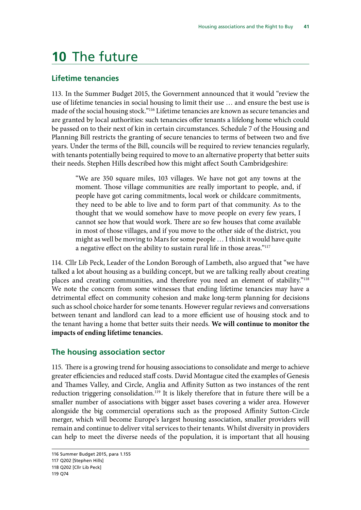## <span id="page-44-0"></span>**10** The future

#### **Lifetime tenancies**

113. In the Summer Budget 2015, the Government announced that it would "review the use of lifetime tenancies in social housing to limit their use … and ensure the best use is made of the social housing stock."116 Lifetime tenancies are known as secure tenancies and are granted by local authorities: such tenancies offer tenants a lifelong home which could be passed on to their next of kin in certain circumstances. Schedule 7 of the Housing and Planning Bill restricts the granting of secure tenancies to terms of between two and five years. Under the terms of the Bill, councils will be required to review tenancies regularly, with tenants potentially being required to move to an alternative property that better suits their needs. Stephen Hills described how this might affect South Cambridgeshire:

"We are 350 square miles, 103 villages. We have not got any towns at the moment. Those village communities are really important to people, and, if people have got caring commitments, local work or childcare commitments, they need to be able to live and to form part of that community. As to the thought that we would somehow have to move people on every few years, I cannot see how that would work. There are so few houses that come available in most of those villages, and if you move to the other side of the district, you might as well be moving to Mars for some people … I think it would have quite a negative effect on the ability to sustain rural life in those areas."<sup>117</sup>

114. Cllr Lib Peck, Leader of the London Borough of Lambeth, also argued that "we have talked a lot about housing as a building concept, but we are talking really about creating places and creating communities, and therefore you need an element of stability."118 We note the concern from some witnesses that ending lifetime tenancies may have a detrimental effect on community cohesion and make long-term planning for decisions such as school choice harder for some tenants. However regular reviews and conversations between tenant and landlord can lead to a more efficient use of housing stock and to the tenant having a home that better suits their needs. **We will continue to monitor the impacts of ending lifetime tenancies.**

#### **The housing association sector**

115. There is a growing trend for housing associations to consolidate and merge to achieve greater efficiencies and reduced staff costs. David Montague cited the examples of Genesis and Thames Valley, and Circle, Anglia and Affinity Sutton as two instances of the rent reduction triggering consolidation.<sup>119</sup> It is likely therefore that in future there will be a smaller number of associations with bigger asset bases covering a wider area. However alongside the big commercial operations such as the proposed Affinity Sutton-Circle merger, which will become Europe's largest housing association, smaller providers will remain and continue to deliver vital services to their tenants. Whilst diversity in providers can help to meet the diverse needs of the population, it is important that all housing

<sup>116</sup> Summer Budget 2015, para 1.155 117 Q202 [Stephen Hills] 118 Q202 [Cllr Lib Peck] 119 Q74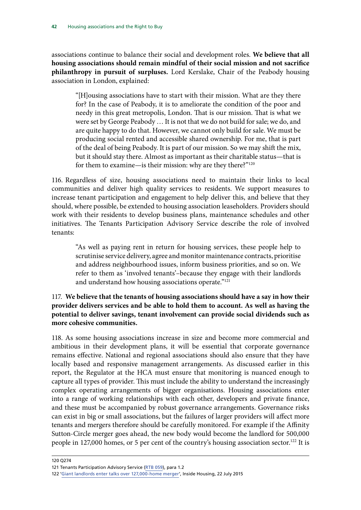associations continue to balance their social and development roles. **We believe that all housing associations should remain mindful of their social mission and not sacrifice philanthropy in pursuit of surpluses.** Lord Kerslake, Chair of the Peabody housing association in London, explained:

"[H]ousing associations have to start with their mission. What are they there for? In the case of Peabody, it is to ameliorate the condition of the poor and needy in this great metropolis, London. That is our mission. That is what we were set by George Peabody … It is not that we do not build for sale; we do, and are quite happy to do that. However, we cannot only build for sale. We must be producing social rented and accessible shared ownership. For me, that is part of the deal of being Peabody. It is part of our mission. So we may shift the mix, but it should stay there. Almost as important as their charitable status—that is for them to examine—is their mission: why are they there?"<sup>120</sup>

116. Regardless of size, housing associations need to maintain their links to local communities and deliver high quality services to residents. We support measures to increase tenant participation and engagement to help deliver this, and believe that they should, where possible, be extended to housing association leaseholders. Providers should work with their residents to develop business plans, maintenance schedules and other initiatives. The Tenants Participation Advisory Service describe the role of involved tenants:

"As well as paying rent in return for housing services, these people help to scrutinise service delivery, agree and monitor maintenance contracts, prioritise and address neighbourhood issues, inform business priorities, and so on. We refer to them as 'involved tenants'–because they engage with their landlords and understand how housing associations operate."<sup>121</sup>

#### 117. **We believe that the tenants of housing associations should have a say in how their provider delivers services and be able to hold them to account. As well as having the potential to deliver savings, tenant involvement can provide social dividends such as more cohesive communities.**

118. As some housing associations increase in size and become more commercial and ambitious in their development plans, it will be essential that corporate governance remains effective. National and regional associations should also ensure that they have locally based and responsive management arrangements. As discussed earlier in this report, the Regulator at the HCA must ensure that monitoring is nuanced enough to capture all types of provider. This must include the ability to understand the increasingly complex operating arrangements of bigger organisations. Housing associations enter into a range of working relationships with each other, developers and private finance, and these must be accompanied by robust governance arrangements. Governance risks can exist in big or small associations, but the failures of larger providers will affect more tenants and mergers therefore should be carefully monitored. For example if the Affinity Sutton-Circle merger goes ahead, the new body would become the landlord for 500,000 people in 127,000 homes, or 5 per cent of the country's housing association sector.<sup>122</sup> It is

<sup>120</sup> Q274

<sup>121</sup> Tenants Participation Advisory Service ([RTB 059](http://data.parliament.uk/writtenevidence/committeeevidence.svc/evidencedocument/communities-and-local-government-committee/the-housing-association-sector-and-the-right-to-buy/written/19919.html)), para 1.2

<sup>122</sup> ['Giant landlords enter talks over 127,000-home merger](http://www.insidehousing.co.uk/business/finance/deals/giant-landlords-enter-talks-over-127000-home-merger/7010926.article)', Inside Housing, 22 July 2015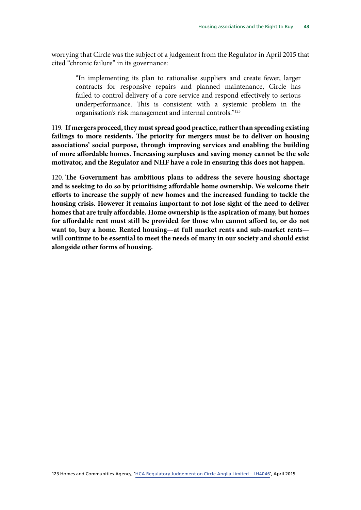worrying that Circle was the subject of a judgement from the Regulator in April 2015 that cited "chronic failure" in its governance:

"In implementing its plan to rationalise suppliers and create fewer, larger contracts for responsive repairs and planned maintenance, Circle has failed to control delivery of a core service and respond effectively to serious underperformance. This is consistent with a systemic problem in the organisation's risk management and internal controls."123

119. **If mergers proceed, they must spread good practice, rather than spreading existing failings to more residents. The priority for mergers must be to deliver on housing associations' social purpose, through improving services and enabling the building of more affordable homes. Increasing surpluses and saving money cannot be the sole motivator, and the Regulator and NHF have a role in ensuring this does not happen.**

120. **The Government has ambitious plans to address the severe housing shortage and is seeking to do so by prioritising affordable home ownership. We welcome their efforts to increase the supply of new homes and the increased funding to tackle the housing crisis. However it remains important to not lose sight of the need to deliver homes that are truly affordable. Home ownership is the aspiration of many, but homes for affordable rent must still be provided for those who cannot afford to, or do not want to, buy a home. Rented housing—at full market rents and sub-market rents will continue to be essential to meet the needs of many in our society and should exist alongside other forms of housing.**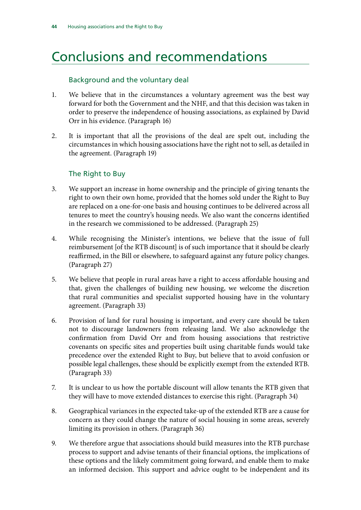# <span id="page-47-0"></span>Conclusions and recommendations

#### Background and the voluntary deal

- 1. We believe that in the circumstances a voluntary agreement was the best way forward for both the Government and the NHF, and that this decision was taken in order to preserve the independence of housing associations, as explained by David Orr in his evidence. (Paragraph 16)
- 2. It is important that all the provisions of the deal are spelt out, including the circumstances in which housing associations have the right not to sell, as detailed in the agreement. (Paragraph 19)

#### The Right to Buy

- 3. We support an increase in home ownership and the principle of giving tenants the right to own their own home, provided that the homes sold under the Right to Buy are replaced on a one-for-one basis and housing continues to be delivered across all tenures to meet the country's housing needs. We also want the concerns identified in the research we commissioned to be addressed. (Paragraph 25)
- 4. While recognising the Minister's intentions, we believe that the issue of full reimbursement [of the RTB discount] is of such importance that it should be clearly reaffirmed, in the Bill or elsewhere, to safeguard against any future policy changes. (Paragraph 27)
- 5. We believe that people in rural areas have a right to access affordable housing and that, given the challenges of building new housing, we welcome the discretion that rural communities and specialist supported housing have in the voluntary agreement. (Paragraph 33)
- 6. Provision of land for rural housing is important, and every care should be taken not to discourage landowners from releasing land. We also acknowledge the confirmation from David Orr and from housing associations that restrictive covenants on specific sites and properties built using charitable funds would take precedence over the extended Right to Buy, but believe that to avoid confusion or possible legal challenges, these should be explicitly exempt from the extended RTB. (Paragraph 33)
- 7. It is unclear to us how the portable discount will allow tenants the RTB given that they will have to move extended distances to exercise this right. (Paragraph 34)
- 8. Geographical variances in the expected take-up of the extended RTB are a cause for concern as they could change the nature of social housing in some areas, severely limiting its provision in others. (Paragraph 36)
- 9. We therefore argue that associations should build measures into the RTB purchase process to support and advise tenants of their financial options, the implications of these options and the likely commitment going forward, and enable them to make an informed decision. This support and advice ought to be independent and its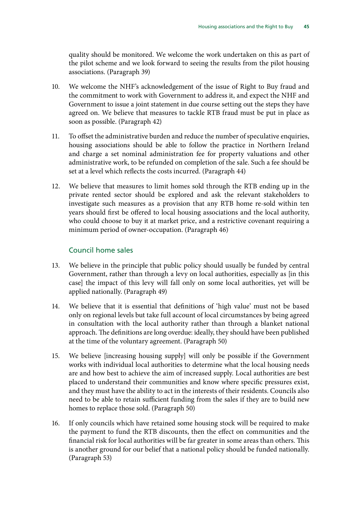quality should be monitored. We welcome the work undertaken on this as part of the pilot scheme and we look forward to seeing the results from the pilot housing associations. (Paragraph 39)

- 10. We welcome the NHF's acknowledgement of the issue of Right to Buy fraud and the commitment to work with Government to address it, and expect the NHF and Government to issue a joint statement in due course setting out the steps they have agreed on. We believe that measures to tackle RTB fraud must be put in place as soon as possible. (Paragraph 42)
- 11. To offset the administrative burden and reduce the number of speculative enquiries, housing associations should be able to follow the practice in Northern Ireland and charge a set nominal administration fee for property valuations and other administrative work, to be refunded on completion of the sale. Such a fee should be set at a level which reflects the costs incurred. (Paragraph 44)
- 12. We believe that measures to limit homes sold through the RTB ending up in the private rented sector should be explored and ask the relevant stakeholders to investigate such measures as a provision that any RTB home re-sold within ten years should first be offered to local housing associations and the local authority, who could choose to buy it at market price, and a restrictive covenant requiring a minimum period of owner-occupation. (Paragraph 46)

#### Council home sales

- 13. We believe in the principle that public policy should usually be funded by central Government, rather than through a levy on local authorities, especially as [in this case] the impact of this levy will fall only on some local authorities, yet will be applied nationally. (Paragraph 49)
- 14. We believe that it is essential that definitions of 'high value' must not be based only on regional levels but take full account of local circumstances by being agreed in consultation with the local authority rather than through a blanket national approach. The definitions are long overdue: ideally, they should have been published at the time of the voluntary agreement. (Paragraph 50)
- 15. We believe [increasing housing supply] will only be possible if the Government works with individual local authorities to determine what the local housing needs are and how best to achieve the aim of increased supply. Local authorities are best placed to understand their communities and know where specific pressures exist, and they must have the ability to act in the interests of their residents. Councils also need to be able to retain sufficient funding from the sales if they are to build new homes to replace those sold. (Paragraph 50)
- 16. If only councils which have retained some housing stock will be required to make the payment to fund the RTB discounts, then the effect on communities and the financial risk for local authorities will be far greater in some areas than others. This is another ground for our belief that a national policy should be funded nationally. (Paragraph 53)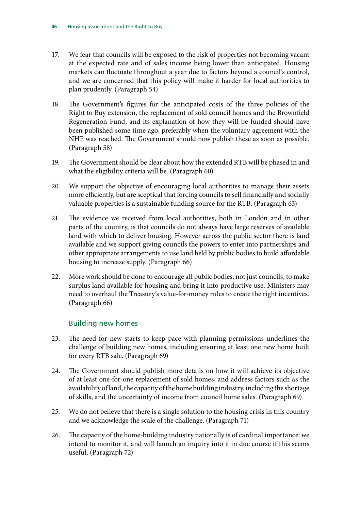- 17. We fear that councils will be exposed to the risk of properties not becoming vacant at the expected rate and of sales income being lower than anticipated. Housing markets can fluctuate throughout a year due to factors beyond a council's control, and we are concerned that this policy will make it harder for local authorities to plan prudently. (Paragraph 54)
- 18. The Government's figures for the anticipated costs of the three policies of the Right to Buy extension, the replacement of sold council homes and the Brownfield Regeneration Fund, and its explanation of how they will be funded should have been published some time ago, preferably when the voluntary agreement with the NHF was reached. The Government should now publish these as soon as possible. (Paragraph 58)
- 19. The Government should be clear about how the extended RTB will be phased in and what the eligibility criteria will be. (Paragraph 60)
- 20. We support the objective of encouraging local authorities to manage their assets more efficiently, but are sceptical that forcing councils to sell financially and socially valuable properties is a sustainable funding source for the RTB. (Paragraph 63)
- 21. The evidence we received from local authorities, both in London and in other parts of the country, is that councils do not always have large reserves of available land with which to deliver housing. However across the public sector there is land available and we support giving councils the powers to enter into partnerships and other appropriate arrangements to use land held by public bodies to build affordable housing to increase supply. (Paragraph 66)
- 22. More work should be done to encourage all public bodies, not just councils, to make surplus land available for housing and bring it into productive use. Ministers may need to overhaul the Treasury's value-for-money rules to create the right incentives. (Paragraph 66)

#### Building new homes

- 23. The need for new starts to keep pace with planning permissions underlines the challenge of building new homes, including ensuring at least one new home built for every RTB sale. (Paragraph 69)
- 24. The Government should publish more details on how it will achieve its objective of at least one-for-one replacement of sold homes, and address factors such as the availability of land, the capacity of the home building industry, including the shortage of skills, and the uncertainty of income from council home sales. (Paragraph 69)
- 25. We do not believe that there is a single solution to the housing crisis in this country and we acknowledge the scale of the challenge. (Paragraph 71)
- 26. The capacity of the home-building industry nationally is of cardinal importance: we intend to monitor it, and will launch an inquiry into it in due course if this seems useful. (Paragraph 72)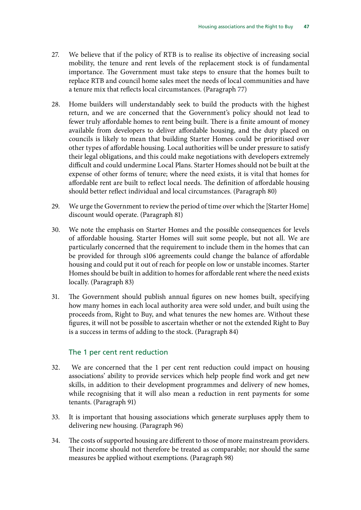- 27. We believe that if the policy of RTB is to realise its objective of increasing social mobility, the tenure and rent levels of the replacement stock is of fundamental importance. The Government must take steps to ensure that the homes built to replace RTB and council home sales meet the needs of local communities and have a tenure mix that reflects local circumstances. (Paragraph 77)
- 28. Home builders will understandably seek to build the products with the highest return, and we are concerned that the Government's policy should not lead to fewer truly affordable homes to rent being built. There is a finite amount of money available from developers to deliver affordable housing, and the duty placed on councils is likely to mean that building Starter Homes could be prioritised over other types of affordable housing. Local authorities will be under pressure to satisfy their legal obligations, and this could make negotiations with developers extremely difficult and could undermine Local Plans. Starter Homes should not be built at the expense of other forms of tenure; where the need exists, it is vital that homes for affordable rent are built to reflect local needs. The definition of affordable housing should better reflect individual and local circumstances. (Paragraph 80)
- 29. We urge the Government to review the period of time over which the [Starter Home] discount would operate. (Paragraph 81)
- 30. We note the emphasis on Starter Homes and the possible consequences for levels of affordable housing. Starter Homes will suit some people, but not all. We are particularly concerned that the requirement to include them in the homes that can be provided for through s106 agreements could change the balance of affordable housing and could put it out of reach for people on low or unstable incomes. Starter Homes should be built in addition to homes for affordable rent where the need exists locally. (Paragraph 83)
- 31. The Government should publish annual figures on new homes built, specifying how many homes in each local authority area were sold under, and built using the proceeds from, Right to Buy, and what tenures the new homes are. Without these figures, it will not be possible to ascertain whether or not the extended Right to Buy is a success in terms of adding to the stock. (Paragraph 84)

#### The 1 per cent rent reduction

- 32. We are concerned that the 1 per cent rent reduction could impact on housing associations' ability to provide services which help people find work and get new skills, in addition to their development programmes and delivery of new homes, while recognising that it will also mean a reduction in rent payments for some tenants. (Paragraph 91)
- 33. It is important that housing associations which generate surpluses apply them to delivering new housing. (Paragraph 96)
- 34. The costs of supported housing are different to those of more mainstream providers. Their income should not therefore be treated as comparable; nor should the same measures be applied without exemptions. (Paragraph 98)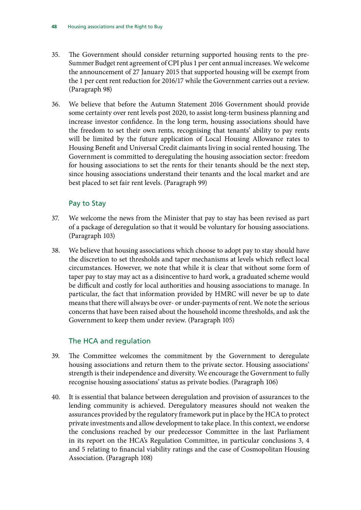- 35. The Government should consider returning supported housing rents to the pre-Summer Budget rent agreement of CPI plus 1 per cent annual increases. We welcome the announcement of 27 January 2015 that supported housing will be exempt from the 1 per cent rent reduction for 2016/17 while the Government carries out a review. (Paragraph 98)
- 36. We believe that before the Autumn Statement 2016 Government should provide some certainty over rent levels post 2020, to assist long-term business planning and increase investor confidence. In the long term, housing associations should have the freedom to set their own rents, recognising that tenants' ability to pay rents will be limited by the future application of Local Housing Allowance rates to Housing Benefit and Universal Credit claimants living in social rented housing. The Government is committed to deregulating the housing association sector: freedom for housing associations to set the rents for their tenants should be the next step, since housing associations understand their tenants and the local market and are best placed to set fair rent levels. (Paragraph 99)

### Pay to Stay

- 37. We welcome the news from the Minister that pay to stay has been revised as part of a package of deregulation so that it would be voluntary for housing associations. (Paragraph 103)
- 38. We believe that housing associations which choose to adopt pay to stay should have the discretion to set thresholds and taper mechanisms at levels which reflect local circumstances. However, we note that while it is clear that without some form of taper pay to stay may act as a disincentive to hard work, a graduated scheme would be difficult and costly for local authorities and housing associations to manage. In particular, the fact that information provided by HMRC will never be up to date means that there will always be over- or under-payments of rent. We note the serious concerns that have been raised about the household income thresholds, and ask the Government to keep them under review. (Paragraph 105)

#### The HCA and regulation

- 39. The Committee welcomes the commitment by the Government to deregulate housing associations and return them to the private sector. Housing associations' strength is their independence and diversity. We encourage the Government to fully recognise housing associations' status as private bodies. (Paragraph 106)
- 40. It is essential that balance between deregulation and provision of assurances to the lending community is achieved. Deregulatory measures should not weaken the assurances provided by the regulatory framework put in place by the HCA to protect private investments and allow development to take place. In this context, we endorse the conclusions reached by our predecessor Committee in the last Parliament in its report on the HCA's Regulation Committee, in particular conclusions 3, 4 and 5 relating to financial viability ratings and the case of Cosmopolitan Housing Association. (Paragraph 108)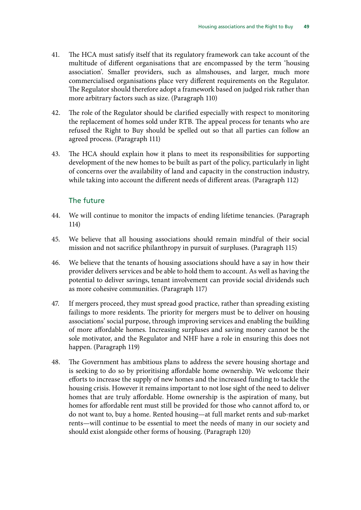- 41. The HCA must satisfy itself that its regulatory framework can take account of the multitude of different organisations that are encompassed by the term 'housing association'. Smaller providers, such as almshouses, and larger, much more commercialised organisations place very different requirements on the Regulator. The Regulator should therefore adopt a framework based on judged risk rather than more arbitrary factors such as size. (Paragraph 110)
- 42. The role of the Regulator should be clarified especially with respect to monitoring the replacement of homes sold under RTB. The appeal process for tenants who are refused the Right to Buy should be spelled out so that all parties can follow an agreed process. (Paragraph 111)
- 43. The HCA should explain how it plans to meet its responsibilities for supporting development of the new homes to be built as part of the policy, particularly in light of concerns over the availability of land and capacity in the construction industry, while taking into account the different needs of different areas. (Paragraph 112)

### The future

- 44. We will continue to monitor the impacts of ending lifetime tenancies. (Paragraph 114)
- 45. We believe that all housing associations should remain mindful of their social mission and not sacrifice philanthropy in pursuit of surpluses. (Paragraph 115)
- 46. We believe that the tenants of housing associations should have a say in how their provider delivers services and be able to hold them to account. As well as having the potential to deliver savings, tenant involvement can provide social dividends such as more cohesive communities. (Paragraph 117)
- 47. If mergers proceed, they must spread good practice, rather than spreading existing failings to more residents. The priority for mergers must be to deliver on housing associations' social purpose, through improving services and enabling the building of more affordable homes. Increasing surpluses and saving money cannot be the sole motivator, and the Regulator and NHF have a role in ensuring this does not happen. (Paragraph 119)
- 48. The Government has ambitious plans to address the severe housing shortage and is seeking to do so by prioritising affordable home ownership. We welcome their efforts to increase the supply of new homes and the increased funding to tackle the housing crisis. However it remains important to not lose sight of the need to deliver homes that are truly affordable. Home ownership is the aspiration of many, but homes for affordable rent must still be provided for those who cannot afford to, or do not want to, buy a home. Rented housing—at full market rents and sub-market rents—will continue to be essential to meet the needs of many in our society and should exist alongside other forms of housing. (Paragraph 120)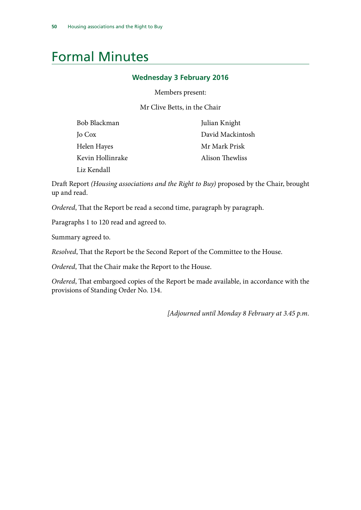# <span id="page-53-0"></span>Formal Minutes

#### **Wednesday 3 February 2016**

Members present:

Mr Clive Betts, in the Chair

| Bob Blackman     | Julian Knight    |
|------------------|------------------|
| Jo Cox           | David Mackintosh |
| Helen Hayes      | Mr Mark Prisk    |
| Kevin Hollinrake | Alison Thewliss  |
| Liz Kendall      |                  |

Draft Report *(Housing associations and the Right to Buy)* proposed by the Chair, brought up and read.

*Ordered*, That the Report be read a second time, paragraph by paragraph.

Paragraphs 1 to 120 read and agreed to.

Summary agreed to.

*Resolved*, That the Report be the Second Report of the Committee to the House.

*Ordered*, That the Chair make the Report to the House.

*Ordered*, That embargoed copies of the Report be made available, in accordance with the provisions of Standing Order No. 134.

*[Adjourned until Monday 8 February at 3.45 p.m.*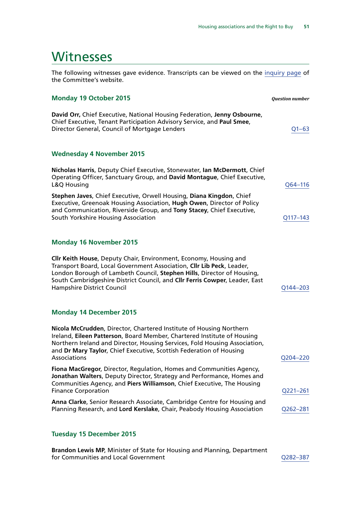### <span id="page-54-0"></span>**Witnesses**

The following witnesses gave evidence. Transcripts can be viewed on the [inquiry page](http://www.parliament.uk/business/committees/committees-a-z/commons-select/communities-and-local-government-committee/inquiries/parliament-2015/housing-association-sector-and-right-to-buy/) of the Committee's website.

#### **Monday 19 October 2015** *Question number*

**David Orr,** Chief Executive, National Housing Federation, **Jenny Osbourne**, Chief Executive, Tenant Participation Advisory Service, and **Paul Smee**, Director General, Council of Mortgage Lenders **COUNTER 1999** COUNTER 1999

#### **Wednesday 4 November 2015**

**Nicholas Harris**, Deputy Chief Executive, Stonewater, **Ian McDermott**, Chief Operating Officer, Sanctuary Group, and **David Montague**, Chief Executive, L&Q Housing [Q64–116](http://data.parliament.uk/writtenevidence/committeeevidence.svc/evidencedocument/communities-and-local-government-committee/the-housing-association-sector-and-the-right-to-buy/oral/24287.html)

**Stephen Javes**, Chief Executive, Orwell Housing, **Diana Kingdon**, Chief Executive, Greenoak Housing Association, **Hugh Owen**, Director of Policy and Communication, Riverside Group, and **Tony Stacey**, Chief Executive, South Yorkshire Housing Association [Q117–143](http://data.parliament.uk/writtenevidence/committeeevidence.svc/evidencedocument/communities-and-local-government-committee/the-housing-association-sector-and-the-right-to-buy/oral/24287.html)

#### **Monday 16 November 2015**

**Cllr Keith House**, Deputy Chair, Environment, Economy, Housing and Transport Board, Local Government Association, **Cllr Lib Peck**, Leader, London Borough of Lambeth Council, **Stephen Hills**, Director of Housing, South Cambridgeshire District Council, and **Cllr Ferris Cowper**, Leader, East Hampshire District Council [Q144–203](http://data.parliament.uk/writtenevidence/committeeevidence.svc/evidencedocument/communities-and-local-government-committee/the-housing-association-sector-and-the-right-to-buy/oral/24630.html)

#### **Monday 14 December 2015**

**Nicola McCrudden**, Director, Chartered Institute of Housing Northern Ireland, **Eileen Patterson**, Board Member, Chartered Institute of Housing Northern Ireland and Director, Housing Services, Fold Housing Association, and **Dr Mary Taylor**, Chief Executive, Scottish Federation of Housing Associations [Q204–220](http://data.parliament.uk/writtenevidence/committeeevidence.svc/evidencedocument/communities-and-local-government-committee/the-housing-association-sector-and-the-right-to-buy/oral/26167.html)

**Fiona MacGregor**, Director, Regulation, Homes and Communities Agency, **Jonathan Walters**, Deputy Director, Strategy and Performance, Homes and Communities Agency, and **Piers Williamson**, Chief Executive, The Housing Finance Corporation [Q221–261](http://data.parliament.uk/writtenevidence/committeeevidence.svc/evidencedocument/communities-and-local-government-committee/the-housing-association-sector-and-the-right-to-buy/oral/26167.html)

**Anna Clarke**, Senior Research Associate, Cambridge Centre for Housing and Planning Research, and **Lord Kerslake**, Chair, Peabody Housing Association [Q262–281](http://data.parliament.uk/writtenevidence/committeeevidence.svc/evidencedocument/communities-and-local-government-committee/the-housing-association-sector-and-the-right-to-buy/oral/26167.html)

#### **Tuesday 15 December 2015**

**Brandon Lewis MP**, Minister of State for Housing and Planning, Department for Communities and Local Government details and the communities of the control of the control of the control of the control of the control of the control of the control of the control of the control of the control of the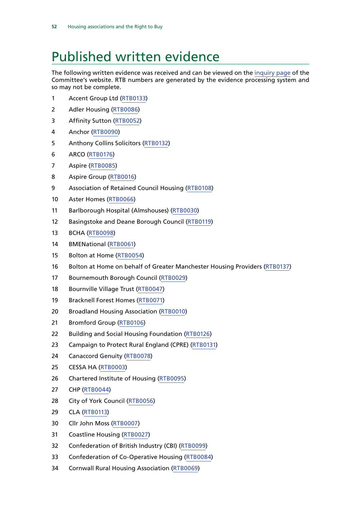# <span id="page-55-0"></span>Published written evidence

The following written evidence was received and can be viewed on the [inquiry page](http://www.parliament.uk/business/committees/committees-a-z/commons-select/communities-and-local-government-committee/inquiries/parliament-2015/housing-association-sector-and-right-to-buy/publications/) of the Committee's website. RTB numbers are generated by the evidence processing system and so may not be complete.

- Accent Group Ltd [\(RTB0133](http://data.parliament.uk/WrittenEvidence/CommitteeEvidence.svc/EvidenceDocument/Communities%20and%20Local%20Government/The%20Housing%20Association%20Sector%20and%20the%20Right%20to%20Buy/written/20103.html))
- Adler Housing [\(RTB0086\)](http://data.parliament.uk/WrittenEvidence/CommitteeEvidence.svc/EvidenceDocument/Communities%20and%20Local%20Government/The%20Housing%20Association%20Sector%20and%20the%20Right%20to%20Buy/written/19987.html)
- Affinity Sutton ([RTB0052](http://data.parliament.uk/WrittenEvidence/CommitteeEvidence.svc/EvidenceDocument/Communities%20and%20Local%20Government/The%20Housing%20Association%20Sector%20and%20the%20Right%20to%20Buy/written/19896.html))
- Anchor ([RTB0090\)](http://data.parliament.uk/WrittenEvidence/CommitteeEvidence.svc/EvidenceDocument/Communities%20and%20Local%20Government/The%20Housing%20Association%20Sector%20and%20the%20Right%20to%20Buy/written/19992.html)
- Anthony Collins Solicitors [\(RTB0132](http://data.parliament.uk/WrittenEvidence/CommitteeEvidence.svc/EvidenceDocument/Communities%20and%20Local%20Government/The%20Housing%20Association%20Sector%20and%20the%20Right%20to%20Buy/written/20102.html))
- ARCO ([RTB0176\)](http://data.parliament.uk/WrittenEvidence/CommitteeEvidence.svc/EvidenceDocument/Communities%20and%20Local%20Government/The%20Housing%20Association%20Sector%20and%20the%20Right%20to%20Buy/written/26510.html)
- Aspire [\(RTB0085](http://data.parliament.uk/WrittenEvidence/CommitteeEvidence.svc/EvidenceDocument/Communities%20and%20Local%20Government/The%20Housing%20Association%20Sector%20and%20the%20Right%20to%20Buy/written/19984.html))
- Aspire Group ([RTB0016\)](http://data.parliament.uk/WrittenEvidence/CommitteeEvidence.svc/EvidenceDocument/Communities%20and%20Local%20Government/The%20Housing%20Association%20Sector%20and%20the%20Right%20to%20Buy/written/19458.html)
- Association of Retained Council Housing [\(RTB0108\)](http://data.parliament.uk/WrittenEvidence/CommitteeEvidence.svc/EvidenceDocument/Communities%20and%20Local%20Government/The%20Housing%20Association%20Sector%20and%20the%20Right%20to%20Buy/written/20038.html)
- Aster Homes [\(RTB0066](http://data.parliament.uk/WrittenEvidence/CommitteeEvidence.svc/EvidenceDocument/Communities%20and%20Local%20Government/The%20Housing%20Association%20Sector%20and%20the%20Right%20to%20Buy/written/19946.html))
- Barlborough Hospital (Almshouses) ([RTB0030](http://data.parliament.uk/WrittenEvidence/CommitteeEvidence.svc/EvidenceDocument/Communities%20and%20Local%20Government/The%20Housing%20Association%20Sector%20and%20the%20Right%20to%20Buy/written/19817.html))
- Basingstoke and Deane Borough Council [\(RTB0119](http://data.parliament.uk/WrittenEvidence/CommitteeEvidence.svc/EvidenceDocument/Communities%20and%20Local%20Government/The%20Housing%20Association%20Sector%20and%20the%20Right%20to%20Buy/written/20065.html))
- BCHA [\(RTB0098](http://data.parliament.uk/WrittenEvidence/CommitteeEvidence.svc/EvidenceDocument/Communities%20and%20Local%20Government/The%20Housing%20Association%20Sector%20and%20the%20Right%20to%20Buy/written/20012.html))
- BMENational ([RTB0061](http://data.parliament.uk/WrittenEvidence/CommitteeEvidence.svc/EvidenceDocument/Communities%20and%20Local%20Government/The%20Housing%20Association%20Sector%20and%20the%20Right%20to%20Buy/written/19932.html))
- Bolton at Home ([RTB0054](http://data.parliament.uk/WrittenEvidence/CommitteeEvidence.svc/EvidenceDocument/Communities%20and%20Local%20Government/The%20Housing%20Association%20Sector%20and%20the%20Right%20to%20Buy/written/19901.html))
- Bolton at Home on behalf of Greater Manchester Housing Providers [\(RTB0137](http://data.parliament.uk/WrittenEvidence/CommitteeEvidence.svc/EvidenceDocument/Communities%20and%20Local%20Government/The%20Housing%20Association%20Sector%20and%20the%20Right%20to%20Buy/written/20108.html))
- Bournemouth Borough Council ([RTB0029\)](http://data.parliament.uk/WrittenEvidence/CommitteeEvidence.svc/EvidenceDocument/Communities%20and%20Local%20Government/The%20Housing%20Association%20Sector%20and%20the%20Right%20to%20Buy/written/19801.html)
- Bournville Village Trust [\(RTB0047](http://data.parliament.uk/WrittenEvidence/CommitteeEvidence.svc/EvidenceDocument/Communities%20and%20Local%20Government/The%20Housing%20Association%20Sector%20and%20the%20Right%20to%20Buy/written/19891.html))
- Bracknell Forest Homes ([RTB0071](http://data.parliament.uk/WrittenEvidence/CommitteeEvidence.svc/EvidenceDocument/Communities%20and%20Local%20Government/The%20Housing%20Association%20Sector%20and%20the%20Right%20to%20Buy/written/19954.html))
- Broadland Housing Association [\(RTB0010](http://data.parliament.uk/WrittenEvidence/CommitteeEvidence.svc/EvidenceDocument/Communities%20and%20Local%20Government/The%20Housing%20Association%20Sector%20and%20the%20Right%20to%20Buy/written/19280.html))
- Bromford Group ([RTB0106\)](http://data.parliament.uk/WrittenEvidence/CommitteeEvidence.svc/EvidenceDocument/Communities%20and%20Local%20Government/The%20Housing%20Association%20Sector%20and%20the%20Right%20to%20Buy/written/20035.html)
- Building and Social Housing Foundation ([RTB0126](http://data.parliament.uk/WrittenEvidence/CommitteeEvidence.svc/EvidenceDocument/Communities%20and%20Local%20Government/The%20Housing%20Association%20Sector%20and%20the%20Right%20to%20Buy/written/20085.html))
- 23 Campaign to Protect Rural England (CPRE) [\(RTB0131\)](http://data.parliament.uk/WrittenEvidence/CommitteeEvidence.svc/EvidenceDocument/Communities%20and%20Local%20Government/The%20Housing%20Association%20Sector%20and%20the%20Right%20to%20Buy/written/20099.html)
- Canaccord Genuity ([RTB0078](http://data.parliament.uk/WrittenEvidence/CommitteeEvidence.svc/EvidenceDocument/Communities%20and%20Local%20Government/The%20Housing%20Association%20Sector%20and%20the%20Right%20to%20Buy/written/19970.html))
- CESSA HA ([RTB0003](http://data.parliament.uk/WrittenEvidence/CommitteeEvidence.svc/EvidenceDocument/Communities%20and%20Local%20Government/The%20Housing%20Association%20Sector%20and%20the%20Right%20to%20Buy/written/18983.html))
- Chartered Institute of Housing ([RTB0095\)](http://data.parliament.uk/WrittenEvidence/CommitteeEvidence.svc/EvidenceDocument/Communities%20and%20Local%20Government/The%20Housing%20Association%20Sector%20and%20the%20Right%20to%20Buy/written/20005.html)
- CHP ([RTB0044\)](http://data.parliament.uk/WrittenEvidence/CommitteeEvidence.svc/EvidenceDocument/Communities%20and%20Local%20Government/The%20Housing%20Association%20Sector%20and%20the%20Right%20to%20Buy/written/19886.html)
- City of York Council ([RTB0056\)](http://data.parliament.uk/WrittenEvidence/CommitteeEvidence.svc/EvidenceDocument/Communities%20and%20Local%20Government/The%20Housing%20Association%20Sector%20and%20the%20Right%20to%20Buy/written/19906.html)
- CLA [\(RTB0113\)](http://data.parliament.uk/WrittenEvidence/CommitteeEvidence.svc/EvidenceDocument/Communities%20and%20Local%20Government/The%20Housing%20Association%20Sector%20and%20the%20Right%20to%20Buy/written/20050.html)
- Cllr John Moss [\(RTB0007](http://data.parliament.uk/WrittenEvidence/CommitteeEvidence.svc/EvidenceDocument/Communities%20and%20Local%20Government/The%20Housing%20Association%20Sector%20and%20the%20Right%20to%20Buy/written/19266.html))
- Coastline Housing ([RTB0027](http://data.parliament.uk/WrittenEvidence/CommitteeEvidence.svc/EvidenceDocument/Communities%20and%20Local%20Government/The%20Housing%20Association%20Sector%20and%20the%20Right%20to%20Buy/written/19786.html))
- Confederation of British Industry (CBI) [\(RTB0099](http://data.parliament.uk/WrittenEvidence/CommitteeEvidence.svc/EvidenceDocument/Communities%20and%20Local%20Government/The%20Housing%20Association%20Sector%20and%20the%20Right%20to%20Buy/written/20014.html))
- Confederation of Co-Operative Housing [\(RTB0084](http://data.parliament.uk/WrittenEvidence/CommitteeEvidence.svc/EvidenceDocument/Communities%20and%20Local%20Government/The%20Housing%20Association%20Sector%20and%20the%20Right%20to%20Buy/written/19983.html))
- Cornwall Rural Housing Association ([RTB0069](http://data.parliament.uk/WrittenEvidence/CommitteeEvidence.svc/EvidenceDocument/Communities%20and%20Local%20Government/The%20Housing%20Association%20Sector%20and%20the%20Right%20to%20Buy/written/19950.html))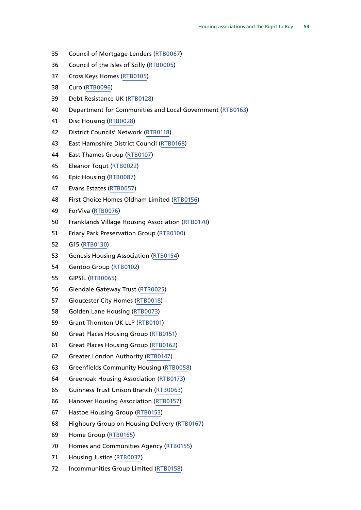- Council of Mortgage Lenders [\(RTB0067](http://data.parliament.uk/WrittenEvidence/CommitteeEvidence.svc/EvidenceDocument/Communities%20and%20Local%20Government/The%20Housing%20Association%20Sector%20and%20the%20Right%20to%20Buy/written/19947.html))
- Council of the Isles of Scilly [\(RTB0005](http://data.parliament.uk/WrittenEvidence/CommitteeEvidence.svc/EvidenceDocument/Communities%20and%20Local%20Government/The%20Housing%20Association%20Sector%20and%20the%20Right%20to%20Buy/written/19044.html))
- Cross Keys Homes [\(RTB0105](http://data.parliament.uk/WrittenEvidence/CommitteeEvidence.svc/EvidenceDocument/Communities%20and%20Local%20Government/The%20Housing%20Association%20Sector%20and%20the%20Right%20to%20Buy/written/20033.html))
- Curo ([RTB0096\)](http://data.parliament.uk/WrittenEvidence/CommitteeEvidence.svc/EvidenceDocument/Communities%20and%20Local%20Government/The%20Housing%20Association%20Sector%20and%20the%20Right%20to%20Buy/written/20007.html)
- Debt Resistance UK [\(RTB0128\)](http://data.parliament.uk/WrittenEvidence/CommitteeEvidence.svc/EvidenceDocument/Communities%20and%20Local%20Government/The%20Housing%20Association%20Sector%20and%20the%20Right%20to%20Buy/written/20090.html)
- Department for Communities and Local Government ([RTB0163](http://data.parliament.uk/WrittenEvidence/CommitteeEvidence.svc/EvidenceDocument/Communities%20and%20Local%20Government/The%20Housing%20Association%20Sector%20and%20the%20Right%20to%20Buy/written/21044.html))
- Disc Housing [\(RTB0028\)](http://data.parliament.uk/WrittenEvidence/CommitteeEvidence.svc/EvidenceDocument/Communities%20and%20Local%20Government/The%20Housing%20Association%20Sector%20and%20the%20Right%20to%20Buy/written/19789.html)
- District Councils' Network ([RTB0118\)](http://data.parliament.uk/WrittenEvidence/CommitteeEvidence.svc/EvidenceDocument/Communities%20and%20Local%20Government/The%20Housing%20Association%20Sector%20and%20the%20Right%20to%20Buy/written/20063.html)
- East Hampshire District Council [\(RTB0168\)](http://data.parliament.uk/WrittenEvidence/CommitteeEvidence.svc/EvidenceDocument/Communities%20and%20Local%20Government/The%20Housing%20Association%20Sector%20and%20the%20Right%20to%20Buy/written/21491.html)
- East Thames Group ([RTB0107](http://data.parliament.uk/WrittenEvidence/CommitteeEvidence.svc/EvidenceDocument/Communities%20and%20Local%20Government/The%20Housing%20Association%20Sector%20and%20the%20Right%20to%20Buy/written/20037.html))
- Eleanor Togut [\(RTB0022\)](http://data.parliament.uk/WrittenEvidence/CommitteeEvidence.svc/EvidenceDocument/Communities%20and%20Local%20Government/The%20Housing%20Association%20Sector%20and%20the%20Right%20to%20Buy/written/19694.html)
- Epic Housing ([RTB0087\)](http://data.parliament.uk/WrittenEvidence/CommitteeEvidence.svc/EvidenceDocument/Communities%20and%20Local%20Government/The%20Housing%20Association%20Sector%20and%20the%20Right%20to%20Buy/written/19988.html)
- Evans Estates [\(RTB0057\)](http://data.parliament.uk/WrittenEvidence/CommitteeEvidence.svc/EvidenceDocument/Communities%20and%20Local%20Government/The%20Housing%20Association%20Sector%20and%20the%20Right%20to%20Buy/written/19912.html)
- First Choice Homes Oldham Limited [\(RTB0156\)](http://data.parliament.uk/WrittenEvidence/CommitteeEvidence.svc/EvidenceDocument/Communities%20and%20Local%20Government/The%20Housing%20Association%20Sector%20and%20the%20Right%20to%20Buy/written/20707.html)
- ForViva ([RTB0076\)](http://data.parliament.uk/WrittenEvidence/CommitteeEvidence.svc/EvidenceDocument/Communities%20and%20Local%20Government/The%20Housing%20Association%20Sector%20and%20the%20Right%20to%20Buy/written/19967.html)
- Franklands Village Housing Association ([RTB0170\)](http://data.parliament.uk/WrittenEvidence/CommitteeEvidence.svc/EvidenceDocument/Communities%20and%20Local%20Government/The%20Housing%20Association%20Sector%20and%20the%20Right%20to%20Buy/written/23158.html)
- Friary Park Preservation Group ([RTB0100\)](http://data.parliament.uk/WrittenEvidence/CommitteeEvidence.svc/EvidenceDocument/Communities%20and%20Local%20Government/The%20Housing%20Association%20Sector%20and%20the%20Right%20to%20Buy/written/20016.html)
- G15 ([RTB0130](http://data.parliament.uk/WrittenEvidence/CommitteeEvidence.svc/EvidenceDocument/Communities%20and%20Local%20Government/The%20Housing%20Association%20Sector%20and%20the%20Right%20to%20Buy/written/20098.html))
- Genesis Housing Association [\(RTB0154](http://data.parliament.uk/WrittenEvidence/CommitteeEvidence.svc/EvidenceDocument/Communities%20and%20Local%20Government/The%20Housing%20Association%20Sector%20and%20the%20Right%20to%20Buy/written/20564.html))
- Gentoo Group ([RTB0102\)](http://data.parliament.uk/WrittenEvidence/CommitteeEvidence.svc/EvidenceDocument/Communities%20and%20Local%20Government/The%20Housing%20Association%20Sector%20and%20the%20Right%20to%20Buy/written/20027.html)
- GIPSIL [\(RTB0065](http://data.parliament.uk/WrittenEvidence/CommitteeEvidence.svc/EvidenceDocument/Communities%20and%20Local%20Government/The%20Housing%20Association%20Sector%20and%20the%20Right%20to%20Buy/written/19943.html))
- Glendale Gateway Trust [\(RTB0025](http://data.parliament.uk/WrittenEvidence/CommitteeEvidence.svc/EvidenceDocument/Communities%20and%20Local%20Government/The%20Housing%20Association%20Sector%20and%20the%20Right%20to%20Buy/written/19768.html))
- Gloucester City Homes [\(RTB0018](http://data.parliament.uk/WrittenEvidence/CommitteeEvidence.svc/EvidenceDocument/Communities%20and%20Local%20Government/The%20Housing%20Association%20Sector%20and%20the%20Right%20to%20Buy/written/19611.html))
- Golden Lane Housing [\(RTB0073\)](http://data.parliament.uk/WrittenEvidence/CommitteeEvidence.svc/EvidenceDocument/Communities%20and%20Local%20Government/The%20Housing%20Association%20Sector%20and%20the%20Right%20to%20Buy/written/19957.html)
- Grant Thornton UK LLP [\(RTB0101](http://data.parliament.uk/WrittenEvidence/CommitteeEvidence.svc/EvidenceDocument/Communities%20and%20Local%20Government/The%20Housing%20Association%20Sector%20and%20the%20Right%20to%20Buy/written/20021.html))
- Great Places Housing Group [\(RTB0151\)](http://data.parliament.uk/WrittenEvidence/CommitteeEvidence.svc/EvidenceDocument/Communities%20and%20Local%20Government/The%20Housing%20Association%20Sector%20and%20the%20Right%20to%20Buy/written/20331.html)
- Great Places Housing Group [\(RTB0162\)](http://data.parliament.uk/WrittenEvidence/CommitteeEvidence.svc/EvidenceDocument/Communities%20and%20Local%20Government/The%20Housing%20Association%20Sector%20and%20the%20Right%20to%20Buy/written/20879.html)
- Greater London Authority ([RTB0147](http://data.parliament.uk/WrittenEvidence/CommitteeEvidence.svc/EvidenceDocument/Communities%20and%20Local%20Government/The%20Housing%20Association%20Sector%20and%20the%20Right%20to%20Buy/written/20260.html))
- Greenfields Community Housing ([RTB0058\)](http://data.parliament.uk/WrittenEvidence/CommitteeEvidence.svc/EvidenceDocument/Communities%20and%20Local%20Government/The%20Housing%20Association%20Sector%20and%20the%20Right%20to%20Buy/written/19915.html)
- Greenoak Housing Association ([RTB0173](http://data.parliament.uk/WrittenEvidence/CommitteeEvidence.svc/EvidenceDocument/Communities%20and%20Local%20Government/The%20Housing%20Association%20Sector%20and%20the%20Right%20to%20Buy/written/24313.html))
- Guinness Trust Unison Branch ([RTB0063](http://data.parliament.uk/WrittenEvidence/CommitteeEvidence.svc/EvidenceDocument/Communities%20and%20Local%20Government/The%20Housing%20Association%20Sector%20and%20the%20Right%20to%20Buy/written/19937.html))
- Hanover Housing Association ([RTB0157](http://data.parliament.uk/WrittenEvidence/CommitteeEvidence.svc/EvidenceDocument/Communities%20and%20Local%20Government/The%20Housing%20Association%20Sector%20and%20the%20Right%20to%20Buy/written/20829.html))
- Hastoe Housing Group ([RTB0153](http://data.parliament.uk/WrittenEvidence/CommitteeEvidence.svc/EvidenceDocument/Communities%20and%20Local%20Government/The%20Housing%20Association%20Sector%20and%20the%20Right%20to%20Buy/written/20408.html))
- Highbury Group on Housing Delivery [\(RTB0167\)](http://data.parliament.uk/WrittenEvidence/CommitteeEvidence.svc/EvidenceDocument/Communities%20and%20Local%20Government/The%20Housing%20Association%20Sector%20and%20the%20Right%20to%20Buy/written/21427.html)
- Home Group ([RTB0165](http://data.parliament.uk/WrittenEvidence/CommitteeEvidence.svc/EvidenceDocument/Communities%20and%20Local%20Government/The%20Housing%20Association%20Sector%20and%20the%20Right%20to%20Buy/written/21350.html))
- Homes and Communities Agency [\(RTB0155](http://data.parliament.uk/WrittenEvidence/CommitteeEvidence.svc/EvidenceDocument/Communities%20and%20Local%20Government/The%20Housing%20Association%20Sector%20and%20the%20Right%20to%20Buy/written/20619.html))
- Housing Justice ([RTB0037](http://data.parliament.uk/WrittenEvidence/CommitteeEvidence.svc/EvidenceDocument/Communities%20and%20Local%20Government/The%20Housing%20Association%20Sector%20and%20the%20Right%20to%20Buy/written/19861.html))
- Incommunities Group Limited [\(RTB0158\)](http://data.parliament.uk/WrittenEvidence/CommitteeEvidence.svc/EvidenceDocument/Communities%20and%20Local%20Government/The%20Housing%20Association%20Sector%20and%20the%20Right%20to%20Buy/written/20843.html)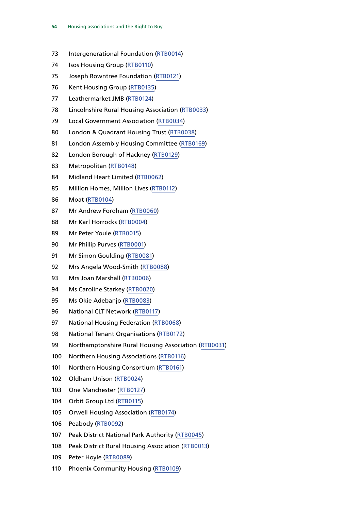- Intergenerational Foundation ([RTB0014\)](http://data.parliament.uk/WrittenEvidence/CommitteeEvidence.svc/EvidenceDocument/Communities%20and%20Local%20Government/The%20Housing%20Association%20Sector%20and%20the%20Right%20to%20Buy/written/19368.html)
- 74 Isos Housing Group [\(RTB0110](http://data.parliament.uk/WrittenEvidence/CommitteeEvidence.svc/EvidenceDocument/Communities%20and%20Local%20Government/The%20Housing%20Association%20Sector%20and%20the%20Right%20to%20Buy/written/20044.html))
- Joseph Rowntree Foundation ([RTB0121\)](http://data.parliament.uk/WrittenEvidence/CommitteeEvidence.svc/EvidenceDocument/Communities%20and%20Local%20Government/The%20Housing%20Association%20Sector%20and%20the%20Right%20to%20Buy/written/20068.html)
- Kent Housing Group [\(RTB0135\)](http://data.parliament.uk/WrittenEvidence/CommitteeEvidence.svc/EvidenceDocument/Communities%20and%20Local%20Government/The%20Housing%20Association%20Sector%20and%20the%20Right%20to%20Buy/written/20106.html)
- Leathermarket JMB ([RTB0124](http://data.parliament.uk/WrittenEvidence/CommitteeEvidence.svc/EvidenceDocument/Communities%20and%20Local%20Government/The%20Housing%20Association%20Sector%20and%20the%20Right%20to%20Buy/written/20077.html))
- Lincolnshire Rural Housing Association ([RTB0033](http://data.parliament.uk/WrittenEvidence/CommitteeEvidence.svc/EvidenceDocument/Communities%20and%20Local%20Government/The%20Housing%20Association%20Sector%20and%20the%20Right%20to%20Buy/written/19842.html))
- Local Government Association [\(RTB0034\)](http://data.parliament.uk/WrittenEvidence/CommitteeEvidence.svc/EvidenceDocument/Communities%20and%20Local%20Government/The%20Housing%20Association%20Sector%20and%20the%20Right%20to%20Buy/written/19845.html)
- London & Quadrant Housing Trust ([RTB0038](http://data.parliament.uk/WrittenEvidence/CommitteeEvidence.svc/EvidenceDocument/Communities%20and%20Local%20Government/The%20Housing%20Association%20Sector%20and%20the%20Right%20to%20Buy/written/19862.html))
- London Assembly Housing Committee ([RTB0169](http://data.parliament.uk/WrittenEvidence/CommitteeEvidence.svc/EvidenceDocument/Communities%20and%20Local%20Government/The%20Housing%20Association%20Sector%20and%20the%20Right%20to%20Buy/written/22559.html))
- London Borough of Hackney ([RTB0129](http://data.parliament.uk/WrittenEvidence/CommitteeEvidence.svc/EvidenceDocument/Communities%20and%20Local%20Government/The%20Housing%20Association%20Sector%20and%20the%20Right%20to%20Buy/written/20093.html))
- Metropolitan [\(RTB0148](http://data.parliament.uk/WrittenEvidence/CommitteeEvidence.svc/EvidenceDocument/Communities%20and%20Local%20Government/The%20Housing%20Association%20Sector%20and%20the%20Right%20to%20Buy/written/20265.html))
- Midland Heart Limited ([RTB0062](http://data.parliament.uk/WrittenEvidence/CommitteeEvidence.svc/EvidenceDocument/Communities%20and%20Local%20Government/The%20Housing%20Association%20Sector%20and%20the%20Right%20to%20Buy/written/19936.html))
- Million Homes, Million Lives [\(RTB0112\)](http://data.parliament.uk/WrittenEvidence/CommitteeEvidence.svc/EvidenceDocument/Communities%20and%20Local%20Government/The%20Housing%20Association%20Sector%20and%20the%20Right%20to%20Buy/written/20049.html)
- Moat ([RTB0104\)](http://data.parliament.uk/WrittenEvidence/CommitteeEvidence.svc/EvidenceDocument/Communities%20and%20Local%20Government/The%20Housing%20Association%20Sector%20and%20the%20Right%20to%20Buy/written/20031.html)
- Mr Andrew Fordham ([RTB0060\)](http://data.parliament.uk/WrittenEvidence/CommitteeEvidence.svc/EvidenceDocument/Communities%20and%20Local%20Government/The%20Housing%20Association%20Sector%20and%20the%20Right%20to%20Buy/written/19924.html)
- Mr Karl Horrocks ([RTB0004](http://data.parliament.uk/WrittenEvidence/CommitteeEvidence.svc/EvidenceDocument/Communities%20and%20Local%20Government/The%20Housing%20Association%20Sector%20and%20the%20Right%20to%20Buy/written/19023.html))
- Mr Peter Youle ([RTB0015](http://data.parliament.uk/WrittenEvidence/CommitteeEvidence.svc/EvidenceDocument/Communities%20and%20Local%20Government/The%20Housing%20Association%20Sector%20and%20the%20Right%20to%20Buy/written/19414.html))
- Mr Phillip Purves ([RTB0001\)](http://data.parliament.uk/WrittenEvidence/CommitteeEvidence.svc/EvidenceDocument/Communities%20and%20Local%20Government/The%20Housing%20Association%20Sector%20and%20the%20Right%20to%20Buy/written/18870.html)
- Mr Simon Goulding ([RTB0081\)](http://data.parliament.uk/WrittenEvidence/CommitteeEvidence.svc/EvidenceDocument/Communities%20and%20Local%20Government/The%20Housing%20Association%20Sector%20and%20the%20Right%20to%20Buy/written/19977.html)
- Mrs Angela Wood-Smith ([RTB0088\)](http://data.parliament.uk/WrittenEvidence/CommitteeEvidence.svc/EvidenceDocument/Communities%20and%20Local%20Government/The%20Housing%20Association%20Sector%20and%20the%20Right%20to%20Buy/written/19989.html)
- Mrs Joan Marshall ([RTB0006\)](http://data.parliament.uk/WrittenEvidence/CommitteeEvidence.svc/EvidenceDocument/Communities%20and%20Local%20Government/The%20Housing%20Association%20Sector%20and%20the%20Right%20to%20Buy/written/19111.html)
- Ms Caroline Starkey ([RTB0020](http://data.parliament.uk/WrittenEvidence/CommitteeEvidence.svc/EvidenceDocument/Communities%20and%20Local%20Government/The%20Housing%20Association%20Sector%20and%20the%20Right%20to%20Buy/written/19681.html))
- Ms Okie Adebanjo [\(RTB0083\)](http://data.parliament.uk/WrittenEvidence/CommitteeEvidence.svc/EvidenceDocument/Communities%20and%20Local%20Government/The%20Housing%20Association%20Sector%20and%20the%20Right%20to%20Buy/written/19979.html)
- National CLT Network [\(RTB0117](http://data.parliament.uk/WrittenEvidence/CommitteeEvidence.svc/EvidenceDocument/Communities%20and%20Local%20Government/The%20Housing%20Association%20Sector%20and%20the%20Right%20to%20Buy/written/20057.html))
- National Housing Federation [\(RTB0068](http://data.parliament.uk/WrittenEvidence/CommitteeEvidence.svc/EvidenceDocument/Communities%20and%20Local%20Government/The%20Housing%20Association%20Sector%20and%20the%20Right%20to%20Buy/written/19949.html))
- 98 National Tenant Organisations [\(RTB0172](http://data.parliament.uk/WrittenEvidence/CommitteeEvidence.svc/EvidenceDocument/Communities%20and%20Local%20Government/The%20Housing%20Association%20Sector%20and%20the%20Right%20to%20Buy/written/24138.html))
- Northamptonshire Rural Housing Association ([RTB0031\)](http://data.parliament.uk/WrittenEvidence/CommitteeEvidence.svc/EvidenceDocument/Communities%20and%20Local%20Government/The%20Housing%20Association%20Sector%20and%20the%20Right%20to%20Buy/written/19826.html)
- 100 Northern Housing Associations [\(RTB0116](http://data.parliament.uk/WrittenEvidence/CommitteeEvidence.svc/EvidenceDocument/Communities%20and%20Local%20Government/The%20Housing%20Association%20Sector%20and%20the%20Right%20to%20Buy/written/20056.html))
- 101 Northern Housing Consortium ([RTB0161](http://data.parliament.uk/WrittenEvidence/CommitteeEvidence.svc/EvidenceDocument/Communities%20and%20Local%20Government/The%20Housing%20Association%20Sector%20and%20the%20Right%20to%20Buy/written/20872.html))
- Oldham Unison [\(RTB0024](http://data.parliament.uk/WrittenEvidence/CommitteeEvidence.svc/EvidenceDocument/Communities%20and%20Local%20Government/The%20Housing%20Association%20Sector%20and%20the%20Right%20to%20Buy/written/19767.html))
- One Manchester ([RTB0127](http://data.parliament.uk/WrittenEvidence/CommitteeEvidence.svc/EvidenceDocument/Communities%20and%20Local%20Government/The%20Housing%20Association%20Sector%20and%20the%20Right%20to%20Buy/written/20089.html))
- Orbit Group Ltd [\(RTB0115\)](http://data.parliament.uk/WrittenEvidence/CommitteeEvidence.svc/EvidenceDocument/Communities%20and%20Local%20Government/The%20Housing%20Association%20Sector%20and%20the%20Right%20to%20Buy/written/20053.html)
- Orwell Housing Association ([RTB0174](http://data.parliament.uk/WrittenEvidence/CommitteeEvidence.svc/EvidenceDocument/Communities%20and%20Local%20Government/The%20Housing%20Association%20Sector%20and%20the%20Right%20to%20Buy/written/24343.html))
- Peabody ([RTB0092](http://data.parliament.uk/WrittenEvidence/CommitteeEvidence.svc/EvidenceDocument/Communities%20and%20Local%20Government/The%20Housing%20Association%20Sector%20and%20the%20Right%20to%20Buy/written/19997.html))
- Peak District National Park Authority [\(RTB0045](http://data.parliament.uk/WrittenEvidence/CommitteeEvidence.svc/EvidenceDocument/Communities%20and%20Local%20Government/The%20Housing%20Association%20Sector%20and%20the%20Right%20to%20Buy/written/19887.html))
- Peak District Rural Housing Association [\(RTB0013](http://data.parliament.uk/WrittenEvidence/CommitteeEvidence.svc/EvidenceDocument/Communities%20and%20Local%20Government/The%20Housing%20Association%20Sector%20and%20the%20Right%20to%20Buy/written/19353.html))
- Peter Hoyle ([RTB0089](http://data.parliament.uk/WrittenEvidence/CommitteeEvidence.svc/EvidenceDocument/Communities%20and%20Local%20Government/The%20Housing%20Association%20Sector%20and%20the%20Right%20to%20Buy/written/19990.html))
- 110 Phoenix Community Housing [\(RTB0109](http://data.parliament.uk/WrittenEvidence/CommitteeEvidence.svc/EvidenceDocument/Communities%20and%20Local%20Government/The%20Housing%20Association%20Sector%20and%20the%20Right%20to%20Buy/written/20041.html))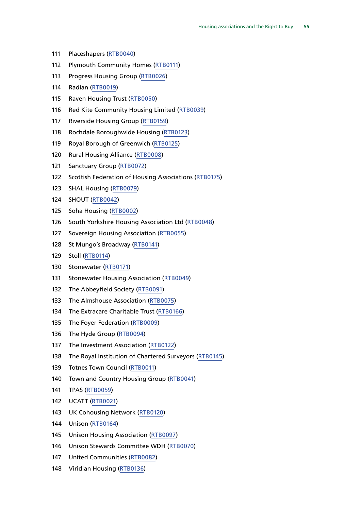- Placeshapers [\(RTB0040](http://data.parliament.uk/WrittenEvidence/CommitteeEvidence.svc/EvidenceDocument/Communities%20and%20Local%20Government/The%20Housing%20Association%20Sector%20and%20the%20Right%20to%20Buy/written/19867.html))
- 112 Plymouth Community Homes [\(RTB0111\)](http://data.parliament.uk/WrittenEvidence/CommitteeEvidence.svc/EvidenceDocument/Communities%20and%20Local%20Government/The%20Housing%20Association%20Sector%20and%20the%20Right%20to%20Buy/written/20048.html)
- Progress Housing Group [\(RTB0026\)](http://data.parliament.uk/WrittenEvidence/CommitteeEvidence.svc/EvidenceDocument/Communities%20and%20Local%20Government/The%20Housing%20Association%20Sector%20and%20the%20Right%20to%20Buy/written/19776.html)
- Radian ([RTB0019\)](http://data.parliament.uk/WrittenEvidence/CommitteeEvidence.svc/EvidenceDocument/Communities%20and%20Local%20Government/The%20Housing%20Association%20Sector%20and%20the%20Right%20to%20Buy/written/19616.html)
- Raven Housing Trust [\(RTB0050\)](http://data.parliament.uk/WrittenEvidence/CommitteeEvidence.svc/EvidenceDocument/Communities%20and%20Local%20Government/The%20Housing%20Association%20Sector%20and%20the%20Right%20to%20Buy/written/19894.html)
- Red Kite Community Housing Limited ([RTB0039\)](http://data.parliament.uk/WrittenEvidence/CommitteeEvidence.svc/EvidenceDocument/Communities%20and%20Local%20Government/The%20Housing%20Association%20Sector%20and%20the%20Right%20to%20Buy/written/19863.html)
- Riverside Housing Group [\(RTB0159\)](http://data.parliament.uk/WrittenEvidence/CommitteeEvidence.svc/EvidenceDocument/Communities%20and%20Local%20Government/The%20Housing%20Association%20Sector%20and%20the%20Right%20to%20Buy/written/20860.html)
- Rochdale Boroughwide Housing [\(RTB0123\)](http://data.parliament.uk/WrittenEvidence/CommitteeEvidence.svc/EvidenceDocument/Communities%20and%20Local%20Government/The%20Housing%20Association%20Sector%20and%20the%20Right%20to%20Buy/written/20076.html)
- Royal Borough of Greenwich [\(RTB0125](http://data.parliament.uk/WrittenEvidence/CommitteeEvidence.svc/EvidenceDocument/Communities%20and%20Local%20Government/The%20Housing%20Association%20Sector%20and%20the%20Right%20to%20Buy/written/20080.html))
- Rural Housing Alliance [\(RTB0008](http://data.parliament.uk/WrittenEvidence/CommitteeEvidence.svc/EvidenceDocument/Communities%20and%20Local%20Government/The%20Housing%20Association%20Sector%20and%20the%20Right%20to%20Buy/written/19275.html))
- Sanctuary Group [\(RTB0072](http://data.parliament.uk/WrittenEvidence/CommitteeEvidence.svc/EvidenceDocument/Communities%20and%20Local%20Government/The%20Housing%20Association%20Sector%20and%20the%20Right%20to%20Buy/written/19956.html))
- Scottish Federation of Housing Associations ([RTB0175](http://data.parliament.uk/WrittenEvidence/CommitteeEvidence.svc/EvidenceDocument/Communities%20and%20Local%20Government/The%20Housing%20Association%20Sector%20and%20the%20Right%20to%20Buy/written/25697.html))
- SHAL Housing ([RTB0079\)](http://data.parliament.uk/WrittenEvidence/CommitteeEvidence.svc/EvidenceDocument/Communities%20and%20Local%20Government/The%20Housing%20Association%20Sector%20and%20the%20Right%20to%20Buy/written/19971.html)
- SHOUT ([RTB0042](http://data.parliament.uk/WrittenEvidence/CommitteeEvidence.svc/EvidenceDocument/Communities%20and%20Local%20Government/The%20Housing%20Association%20Sector%20and%20the%20Right%20to%20Buy/written/19880.html))
- Soha Housing ([RTB0002\)](http://data.parliament.uk/WrittenEvidence/CommitteeEvidence.svc/EvidenceDocument/Communities%20and%20Local%20Government/The%20Housing%20Association%20Sector%20and%20the%20Right%20to%20Buy/written/18964.html)
- South Yorkshire Housing Association Ltd ([RTB0048](http://data.parliament.uk/WrittenEvidence/CommitteeEvidence.svc/EvidenceDocument/Communities%20and%20Local%20Government/The%20Housing%20Association%20Sector%20and%20the%20Right%20to%20Buy/written/19892.html))
- Sovereign Housing Association [\(RTB0055\)](http://data.parliament.uk/WrittenEvidence/CommitteeEvidence.svc/EvidenceDocument/Communities%20and%20Local%20Government/The%20Housing%20Association%20Sector%20and%20the%20Right%20to%20Buy/written/19903.html)
- St Mungo's Broadway [\(RTB0141\)](http://data.parliament.uk/WrittenEvidence/CommitteeEvidence.svc/EvidenceDocument/Communities%20and%20Local%20Government/The%20Housing%20Association%20Sector%20and%20the%20Right%20to%20Buy/written/20118.html)
- Stoll ([RTB0114](http://data.parliament.uk/WrittenEvidence/CommitteeEvidence.svc/EvidenceDocument/Communities%20and%20Local%20Government/The%20Housing%20Association%20Sector%20and%20the%20Right%20to%20Buy/written/20052.html))
- Stonewater [\(RTB0171\)](http://data.parliament.uk/WrittenEvidence/CommitteeEvidence.svc/EvidenceDocument/Communities%20and%20Local%20Government/The%20Housing%20Association%20Sector%20and%20the%20Right%20to%20Buy/written/23632.html)
- Stonewater Housing Association ([RTB0049\)](http://data.parliament.uk/WrittenEvidence/CommitteeEvidence.svc/EvidenceDocument/Communities%20and%20Local%20Government/The%20Housing%20Association%20Sector%20and%20the%20Right%20to%20Buy/written/19893.html)
- The Abbeyfield Society ([RTB0091\)](http://data.parliament.uk/WrittenEvidence/CommitteeEvidence.svc/EvidenceDocument/Communities%20and%20Local%20Government/The%20Housing%20Association%20Sector%20and%20the%20Right%20to%20Buy/written/19993.html)
- The Almshouse Association ([RTB0075](http://data.parliament.uk/WrittenEvidence/CommitteeEvidence.svc/EvidenceDocument/Communities%20and%20Local%20Government/The%20Housing%20Association%20Sector%20and%20the%20Right%20to%20Buy/written/19965.html))
- The Extracare Charitable Trust ([RTB0166\)](http://data.parliament.uk/WrittenEvidence/CommitteeEvidence.svc/EvidenceDocument/Communities%20and%20Local%20Government/The%20Housing%20Association%20Sector%20and%20the%20Right%20to%20Buy/written/21358.html)
- The Foyer Federation ([RTB0009\)](http://data.parliament.uk/WrittenEvidence/CommitteeEvidence.svc/EvidenceDocument/Communities%20and%20Local%20Government/The%20Housing%20Association%20Sector%20and%20the%20Right%20to%20Buy/written/19277.html)
- The Hyde Group ([RTB0094\)](http://data.parliament.uk/WrittenEvidence/CommitteeEvidence.svc/EvidenceDocument/Communities%20and%20Local%20Government/The%20Housing%20Association%20Sector%20and%20the%20Right%20to%20Buy/written/20003.html)
- 137 The Investment Association ([RTB0122](http://data.parliament.uk/WrittenEvidence/CommitteeEvidence.svc/EvidenceDocument/Communities%20and%20Local%20Government/The%20Housing%20Association%20Sector%20and%20the%20Right%20to%20Buy/written/20071.html))
- The Royal Institution of Chartered Surveyors [\(RTB0145\)](http://data.parliament.uk/WrittenEvidence/CommitteeEvidence.svc/EvidenceDocument/Communities%20and%20Local%20Government/The%20Housing%20Association%20Sector%20and%20the%20Right%20to%20Buy/written/20232.html)
- Totnes Town Council ([RTB0011\)](http://data.parliament.uk/WrittenEvidence/CommitteeEvidence.svc/EvidenceDocument/Communities%20and%20Local%20Government/The%20Housing%20Association%20Sector%20and%20the%20Right%20to%20Buy/written/19332.html)
- Town and Country Housing Group ([RTB0041\)](http://data.parliament.uk/WrittenEvidence/CommitteeEvidence.svc/EvidenceDocument/Communities%20and%20Local%20Government/The%20Housing%20Association%20Sector%20and%20the%20Right%20to%20Buy/written/19874.html)
- TPAS ([RTB0059](http://data.parliament.uk/WrittenEvidence/CommitteeEvidence.svc/EvidenceDocument/Communities%20and%20Local%20Government/The%20Housing%20Association%20Sector%20and%20the%20Right%20to%20Buy/written/19919.html))
- UCATT [\(RTB0021](http://data.parliament.uk/WrittenEvidence/CommitteeEvidence.svc/EvidenceDocument/Communities%20and%20Local%20Government/The%20Housing%20Association%20Sector%20and%20the%20Right%20to%20Buy/written/19692.html))
- UK Cohousing Network ([RTB0120](http://data.parliament.uk/WrittenEvidence/CommitteeEvidence.svc/EvidenceDocument/Communities%20and%20Local%20Government/The%20Housing%20Association%20Sector%20and%20the%20Right%20to%20Buy/written/20067.html))
- Unison ([RTB0164\)](http://data.parliament.uk/WrittenEvidence/CommitteeEvidence.svc/EvidenceDocument/Communities%20and%20Local%20Government/The%20Housing%20Association%20Sector%20and%20the%20Right%20to%20Buy/written/21234.html)
- Unison Housing Association [\(RTB0097](http://data.parliament.uk/WrittenEvidence/CommitteeEvidence.svc/EvidenceDocument/Communities%20and%20Local%20Government/The%20Housing%20Association%20Sector%20and%20the%20Right%20to%20Buy/written/20008.html))
- Unison Stewards Committee WDH [\(RTB0070\)](http://data.parliament.uk/WrittenEvidence/CommitteeEvidence.svc/EvidenceDocument/Communities%20and%20Local%20Government/The%20Housing%20Association%20Sector%20and%20the%20Right%20to%20Buy/written/19952.html)
- United Communities [\(RTB0082](http://data.parliament.uk/WrittenEvidence/CommitteeEvidence.svc/EvidenceDocument/Communities%20and%20Local%20Government/The%20Housing%20Association%20Sector%20and%20the%20Right%20to%20Buy/written/19978.html))
- Viridian Housing ([RTB0136](http://data.parliament.uk/WrittenEvidence/CommitteeEvidence.svc/EvidenceDocument/Communities%20and%20Local%20Government/The%20Housing%20Association%20Sector%20and%20the%20Right%20to%20Buy/written/20107.html))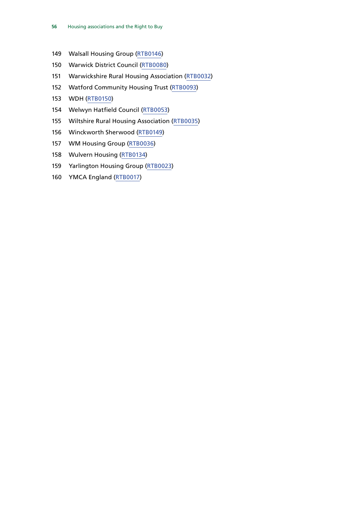- Walsall Housing Group [\(RTB0146](http://data.parliament.uk/WrittenEvidence/CommitteeEvidence.svc/EvidenceDocument/Communities%20and%20Local%20Government/The%20Housing%20Association%20Sector%20and%20the%20Right%20to%20Buy/written/20235.html))
- Warwick District Council ([RTB0080\)](http://data.parliament.uk/WrittenEvidence/CommitteeEvidence.svc/EvidenceDocument/Communities%20and%20Local%20Government/The%20Housing%20Association%20Sector%20and%20the%20Right%20to%20Buy/written/19974.html)
- Warwickshire Rural Housing Association [\(RTB0032\)](http://data.parliament.uk/WrittenEvidence/CommitteeEvidence.svc/EvidenceDocument/Communities%20and%20Local%20Government/The%20Housing%20Association%20Sector%20and%20the%20Right%20to%20Buy/written/19828.html)
- Watford Community Housing Trust [\(RTB0093\)](http://data.parliament.uk/WrittenEvidence/CommitteeEvidence.svc/EvidenceDocument/Communities%20and%20Local%20Government/The%20Housing%20Association%20Sector%20and%20the%20Right%20to%20Buy/written/19998.html)
- WDH [\(RTB0150\)](http://data.parliament.uk/WrittenEvidence/CommitteeEvidence.svc/EvidenceDocument/Communities%20and%20Local%20Government/The%20Housing%20Association%20Sector%20and%20the%20Right%20to%20Buy/written/20291.html)
- Welwyn Hatfield Council ([RTB0053](http://data.parliament.uk/WrittenEvidence/CommitteeEvidence.svc/EvidenceDocument/Communities%20and%20Local%20Government/The%20Housing%20Association%20Sector%20and%20the%20Right%20to%20Buy/written/19900.html))
- Wiltshire Rural Housing Association [\(RTB0035\)](http://data.parliament.uk/WrittenEvidence/CommitteeEvidence.svc/EvidenceDocument/Communities%20and%20Local%20Government/The%20Housing%20Association%20Sector%20and%20the%20Right%20to%20Buy/written/19847.html)
- Winckworth Sherwood [\(RTB0149\)](http://data.parliament.uk/WrittenEvidence/CommitteeEvidence.svc/EvidenceDocument/Communities%20and%20Local%20Government/The%20Housing%20Association%20Sector%20and%20the%20Right%20to%20Buy/written/20281.html)
- WM Housing Group ([RTB0036](http://data.parliament.uk/WrittenEvidence/CommitteeEvidence.svc/EvidenceDocument/Communities%20and%20Local%20Government/The%20Housing%20Association%20Sector%20and%20the%20Right%20to%20Buy/written/19854.html))
- Wulvern Housing [\(RTB0134\)](http://data.parliament.uk/WrittenEvidence/CommitteeEvidence.svc/EvidenceDocument/Communities%20and%20Local%20Government/The%20Housing%20Association%20Sector%20and%20the%20Right%20to%20Buy/written/20105.html)
- Yarlington Housing Group ([RTB0023\)](http://data.parliament.uk/WrittenEvidence/CommitteeEvidence.svc/EvidenceDocument/Communities%20and%20Local%20Government/The%20Housing%20Association%20Sector%20and%20the%20Right%20to%20Buy/written/19747.html)
- YMCA England ([RTB0017](http://data.parliament.uk/WrittenEvidence/CommitteeEvidence.svc/EvidenceDocument/Communities%20and%20Local%20Government/The%20Housing%20Association%20Sector%20and%20the%20Right%20to%20Buy/written/19467.html))